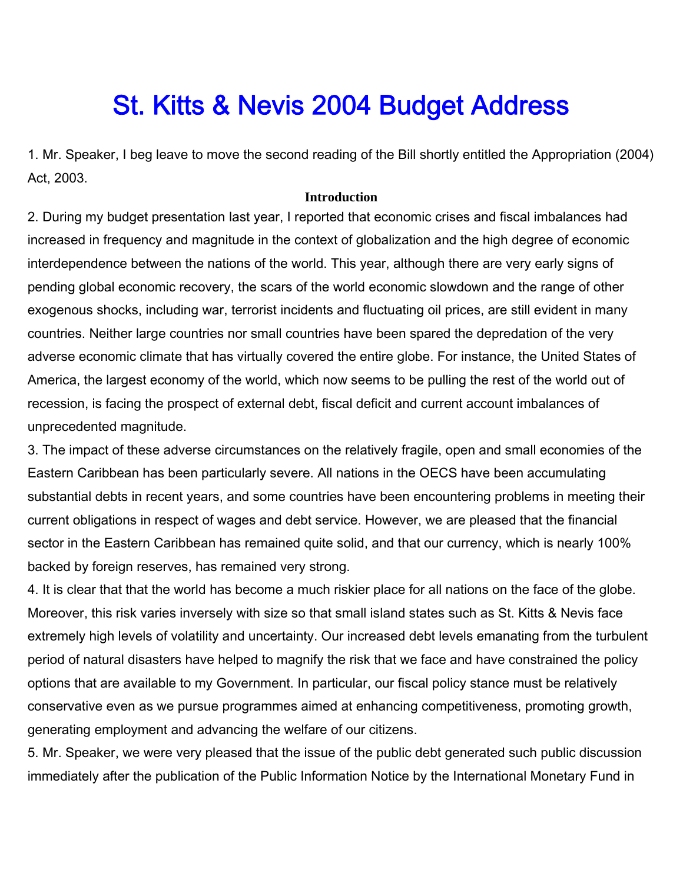# St. Kitts & Nevis 2004 Budget Address

1. Mr. Speaker, I beg leave to move the second reading of the Bill shortly entitled the Appropriation (2004) Act, 2003.

#### **Introduction**

2. During my budget presentation last year, I reported that economic crises and fiscal imbalances had increased in frequency and magnitude in the context of globalization and the high degree of economic interdependence between the nations of the world. This year, although there are very early signs of pending global economic recovery, the scars of the world economic slowdown and the range of other exogenous shocks, including war, terrorist incidents and fluctuating oil prices, are still evident in many countries. Neither large countries nor small countries have been spared the depredation of the very adverse economic climate that has virtually covered the entire globe. For instance, the United States of America, the largest economy of the world, which now seems to be pulling the rest of the world out of recession, is facing the prospect of external debt, fiscal deficit and current account imbalances of unprecedented magnitude.

3. The impact of these adverse circumstances on the relatively fragile, open and small economies of the Eastern Caribbean has been particularly severe. All nations in the OECS have been accumulating substantial debts in recent years, and some countries have been encountering problems in meeting their current obligations in respect of wages and debt service. However, we are pleased that the financial sector in the Eastern Caribbean has remained quite solid, and that our currency, which is nearly 100% backed by foreign reserves, has remained very strong.

4. It is clear that that the world has become a much riskier place for all nations on the face of the globe. Moreover, this risk varies inversely with size so that small island states such as St. Kitts & Nevis face extremely high levels of volatility and uncertainty. Our increased debt levels emanating from the turbulent period of natural disasters have helped to magnify the risk that we face and have constrained the policy options that are available to my Government. In particular, our fiscal policy stance must be relatively conservative even as we pursue programmes aimed at enhancing competitiveness, promoting growth, generating employment and advancing the welfare of our citizens.

5. Mr. Speaker, we were very pleased that the issue of the public debt generated such public discussion immediately after the publication of the Public Information Notice by the International Monetary Fund in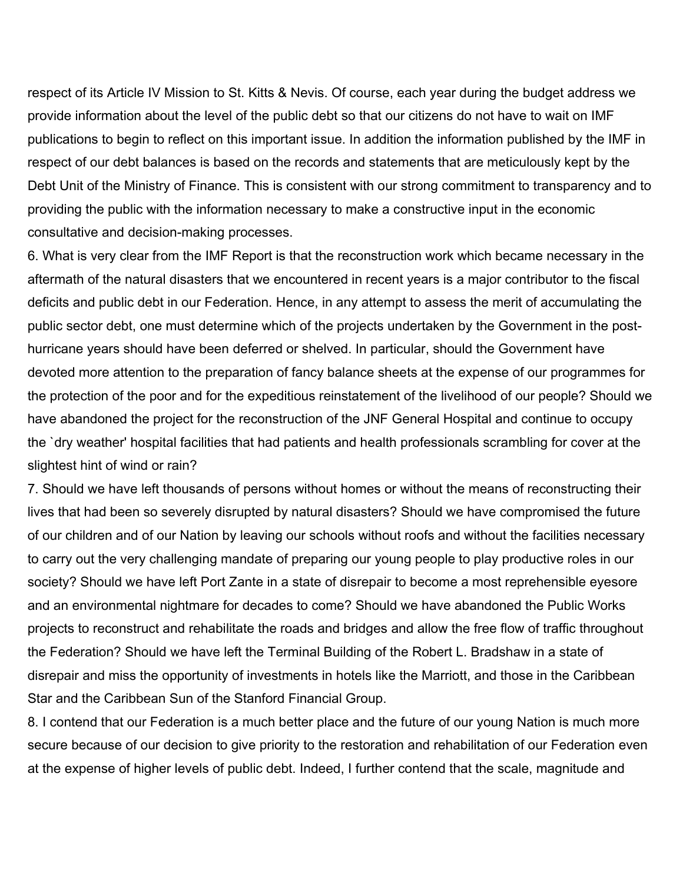respect of its Article IV Mission to St. Kitts & Nevis. Of course, each year during the budget address we provide information about the level of the public debt so that our citizens do not have to wait on IMF publications to begin to reflect on this important issue. In addition the information published by the IMF in respect of our debt balances is based on the records and statements that are meticulously kept by the Debt Unit of the Ministry of Finance. This is consistent with our strong commitment to transparency and to providing the public with the information necessary to make a constructive input in the economic consultative and decision-making processes.

6. What is very clear from the IMF Report is that the reconstruction work which became necessary in the aftermath of the natural disasters that we encountered in recent years is a major contributor to the fiscal deficits and public debt in our Federation. Hence, in any attempt to assess the merit of accumulating the public sector debt, one must determine which of the projects undertaken by the Government in the posthurricane years should have been deferred or shelved. In particular, should the Government have devoted more attention to the preparation of fancy balance sheets at the expense of our programmes for the protection of the poor and for the expeditious reinstatement of the livelihood of our people? Should we have abandoned the project for the reconstruction of the JNF General Hospital and continue to occupy the `dry weather' hospital facilities that had patients and health professionals scrambling for cover at the slightest hint of wind or rain?

7. Should we have left thousands of persons without homes or without the means of reconstructing their lives that had been so severely disrupted by natural disasters? Should we have compromised the future of our children and of our Nation by leaving our schools without roofs and without the facilities necessary to carry out the very challenging mandate of preparing our young people to play productive roles in our society? Should we have left Port Zante in a state of disrepair to become a most reprehensible eyesore and an environmental nightmare for decades to come? Should we have abandoned the Public Works projects to reconstruct and rehabilitate the roads and bridges and allow the free flow of traffic throughout the Federation? Should we have left the Terminal Building of the Robert L. Bradshaw in a state of disrepair and miss the opportunity of investments in hotels like the Marriott, and those in the Caribbean Star and the Caribbean Sun of the Stanford Financial Group.

8. I contend that our Federation is a much better place and the future of our young Nation is much more secure because of our decision to give priority to the restoration and rehabilitation of our Federation even at the expense of higher levels of public debt. Indeed, I further contend that the scale, magnitude and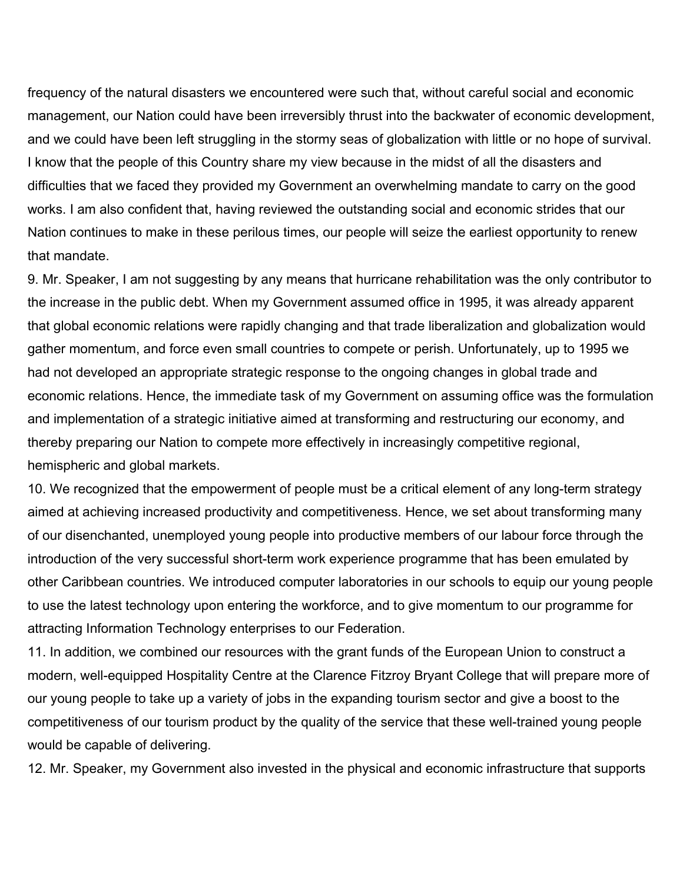frequency of the natural disasters we encountered were such that, without careful social and economic management, our Nation could have been irreversibly thrust into the backwater of economic development, and we could have been left struggling in the stormy seas of globalization with little or no hope of survival. I know that the people of this Country share my view because in the midst of all the disasters and difficulties that we faced they provided my Government an overwhelming mandate to carry on the good works. I am also confident that, having reviewed the outstanding social and economic strides that our Nation continues to make in these perilous times, our people will seize the earliest opportunity to renew that mandate.

9. Mr. Speaker, I am not suggesting by any means that hurricane rehabilitation was the only contributor to the increase in the public debt. When my Government assumed office in 1995, it was already apparent that global economic relations were rapidly changing and that trade liberalization and globalization would gather momentum, and force even small countries to compete or perish. Unfortunately, up to 1995 we had not developed an appropriate strategic response to the ongoing changes in global trade and economic relations. Hence, the immediate task of my Government on assuming office was the formulation and implementation of a strategic initiative aimed at transforming and restructuring our economy, and thereby preparing our Nation to compete more effectively in increasingly competitive regional, hemispheric and global markets.

10. We recognized that the empowerment of people must be a critical element of any long-term strategy aimed at achieving increased productivity and competitiveness. Hence, we set about transforming many of our disenchanted, unemployed young people into productive members of our labour force through the introduction of the very successful short-term work experience programme that has been emulated by other Caribbean countries. We introduced computer laboratories in our schools to equip our young people to use the latest technology upon entering the workforce, and to give momentum to our programme for attracting Information Technology enterprises to our Federation.

11. In addition, we combined our resources with the grant funds of the European Union to construct a modern, well-equipped Hospitality Centre at the Clarence Fitzroy Bryant College that will prepare more of our young people to take up a variety of jobs in the expanding tourism sector and give a boost to the competitiveness of our tourism product by the quality of the service that these well-trained young people would be capable of delivering.

12. Mr. Speaker, my Government also invested in the physical and economic infrastructure that supports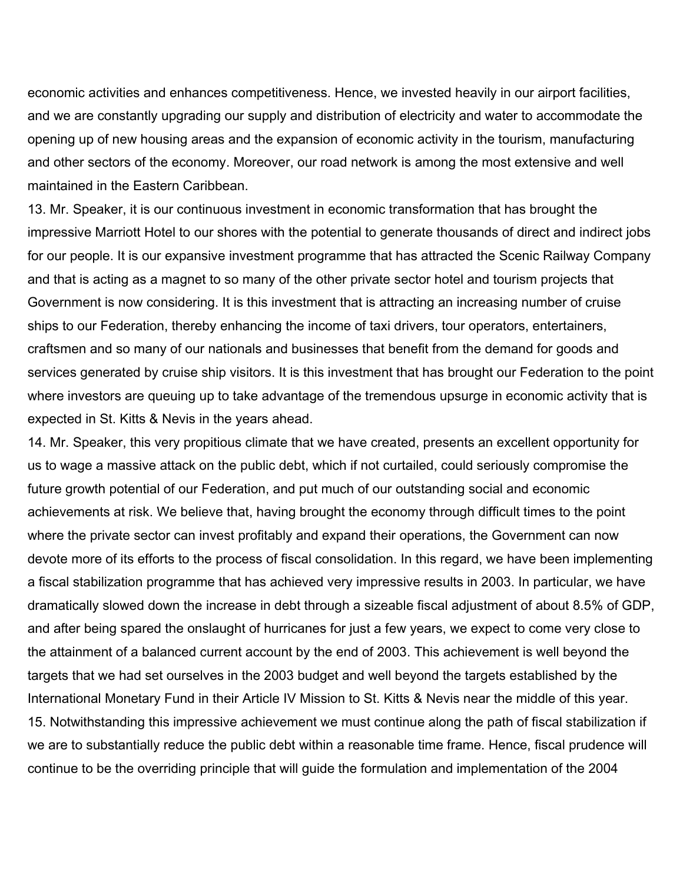economic activities and enhances competitiveness. Hence, we invested heavily in our airport facilities, and we are constantly upgrading our supply and distribution of electricity and water to accommodate the opening up of new housing areas and the expansion of economic activity in the tourism, manufacturing and other sectors of the economy. Moreover, our road network is among the most extensive and well maintained in the Eastern Caribbean.

13. Mr. Speaker, it is our continuous investment in economic transformation that has brought the impressive Marriott Hotel to our shores with the potential to generate thousands of direct and indirect jobs for our people. It is our expansive investment programme that has attracted the Scenic Railway Company and that is acting as a magnet to so many of the other private sector hotel and tourism projects that Government is now considering. It is this investment that is attracting an increasing number of cruise ships to our Federation, thereby enhancing the income of taxi drivers, tour operators, entertainers, craftsmen and so many of our nationals and businesses that benefit from the demand for goods and services generated by cruise ship visitors. It is this investment that has brought our Federation to the point where investors are queuing up to take advantage of the tremendous upsurge in economic activity that is expected in St. Kitts & Nevis in the years ahead.

14. Mr. Speaker, this very propitious climate that we have created, presents an excellent opportunity for us to wage a massive attack on the public debt, which if not curtailed, could seriously compromise the future growth potential of our Federation, and put much of our outstanding social and economic achievements at risk. We believe that, having brought the economy through difficult times to the point where the private sector can invest profitably and expand their operations, the Government can now devote more of its efforts to the process of fiscal consolidation. In this regard, we have been implementing a fiscal stabilization programme that has achieved very impressive results in 2003. In particular, we have dramatically slowed down the increase in debt through a sizeable fiscal adjustment of about 8.5% of GDP, and after being spared the onslaught of hurricanes for just a few years, we expect to come very close to the attainment of a balanced current account by the end of 2003. This achievement is well beyond the targets that we had set ourselves in the 2003 budget and well beyond the targets established by the International Monetary Fund in their Article IV Mission to St. Kitts & Nevis near the middle of this year. 15. Notwithstanding this impressive achievement we must continue along the path of fiscal stabilization if we are to substantially reduce the public debt within a reasonable time frame. Hence, fiscal prudence will continue to be the overriding principle that will guide the formulation and implementation of the 2004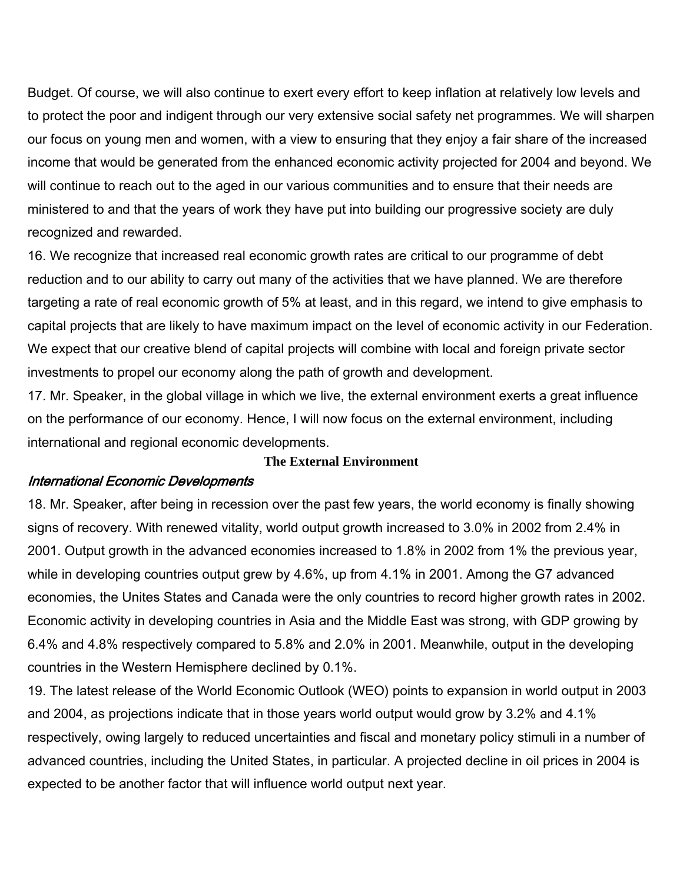Budget. Of course, we will also continue to exert every effort to keep inflation at relatively low levels and to protect the poor and indigent through our very extensive social safety net programmes. We will sharpen our focus on young men and women, with a view to ensuring that they enjoy a fair share of the increased income that would be generated from the enhanced economic activity projected for 2004 and beyond. We will continue to reach out to the aged in our various communities and to ensure that their needs are ministered to and that the years of work they have put into building our progressive society are duly recognized and rewarded.

16. We recognize that increased real economic growth rates are critical to our programme of debt reduction and to our ability to carry out many of the activities that we have planned. We are therefore targeting a rate of real economic growth of 5% at least, and in this regard, we intend to give emphasis to capital projects that are likely to have maximum impact on the level of economic activity in our Federation. We expect that our creative blend of capital projects will combine with local and foreign private sector investments to propel our economy along the path of growth and development.

17. Mr. Speaker, in the global village in which we live, the external environment exerts a great influence on the performance of our economy. Hence, I will now focus on the external environment, including international and regional economic developments.

#### **The External Environment**

#### International Economic Developments

18. Mr. Speaker, after being in recession over the past few years, the world economy is finally showing signs of recovery. With renewed vitality, world output growth increased to 3.0% in 2002 from 2.4% in 2001. Output growth in the advanced economies increased to 1.8% in 2002 from 1% the previous year, while in developing countries output grew by 4.6%, up from 4.1% in 2001. Among the G7 advanced economies, the Unites States and Canada were the only countries to record higher growth rates in 2002. Economic activity in developing countries in Asia and the Middle East was strong, with GDP growing by 6.4% and 4.8% respectively compared to 5.8% and 2.0% in 2001. Meanwhile, output in the developing countries in the Western Hemisphere declined by 0.1%.

19. The latest release of the World Economic Outlook (WEO) points to expansion in world output in 2003 and 2004, as projections indicate that in those years world output would grow by 3.2% and 4.1% respectively, owing largely to reduced uncertainties and fiscal and monetary policy stimuli in a number of advanced countries, including the United States, in particular. A projected decline in oil prices in 2004 is expected to be another factor that will influence world output next year.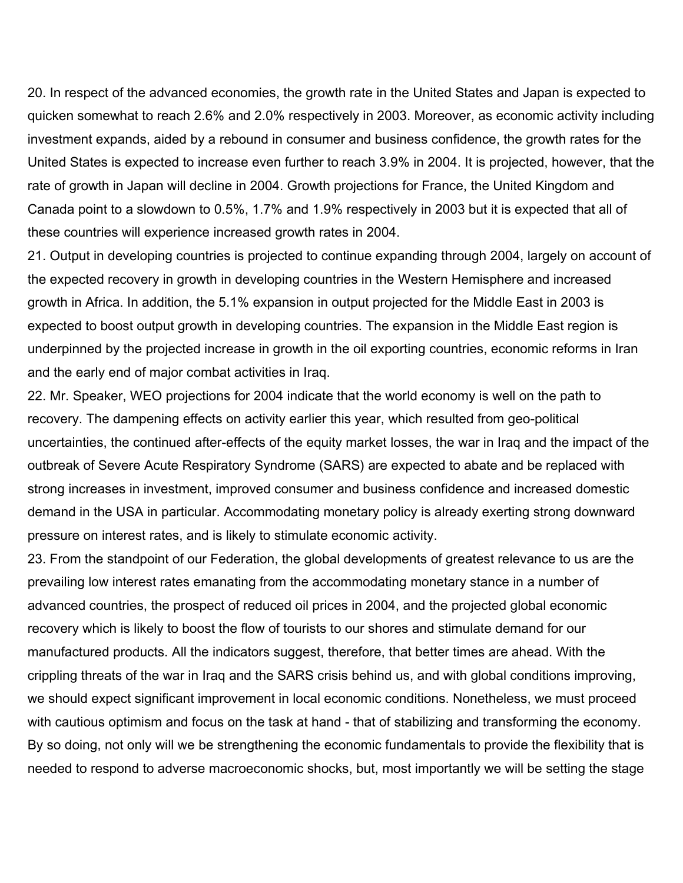20. In respect of the advanced economies, the growth rate in the United States and Japan is expected to quicken somewhat to reach 2.6% and 2.0% respectively in 2003. Moreover, as economic activity including investment expands, aided by a rebound in consumer and business confidence, the growth rates for the United States is expected to increase even further to reach 3.9% in 2004. It is projected, however, that the rate of growth in Japan will decline in 2004. Growth projections for France, the United Kingdom and Canada point to a slowdown to 0.5%, 1.7% and 1.9% respectively in 2003 but it is expected that all of these countries will experience increased growth rates in 2004.

21. Output in developing countries is projected to continue expanding through 2004, largely on account of the expected recovery in growth in developing countries in the Western Hemisphere and increased growth in Africa. In addition, the 5.1% expansion in output projected for the Middle East in 2003 is expected to boost output growth in developing countries. The expansion in the Middle East region is underpinned by the projected increase in growth in the oil exporting countries, economic reforms in Iran and the early end of major combat activities in Iraq.

22. Mr. Speaker, WEO projections for 2004 indicate that the world economy is well on the path to recovery. The dampening effects on activity earlier this year, which resulted from geo-political uncertainties, the continued after-effects of the equity market losses, the war in Iraq and the impact of the outbreak of Severe Acute Respiratory Syndrome (SARS) are expected to abate and be replaced with strong increases in investment, improved consumer and business confidence and increased domestic demand in the USA in particular. Accommodating monetary policy is already exerting strong downward pressure on interest rates, and is likely to stimulate economic activity.

23. From the standpoint of our Federation, the global developments of greatest relevance to us are the prevailing low interest rates emanating from the accommodating monetary stance in a number of advanced countries, the prospect of reduced oil prices in 2004, and the projected global economic recovery which is likely to boost the flow of tourists to our shores and stimulate demand for our manufactured products. All the indicators suggest, therefore, that better times are ahead. With the crippling threats of the war in Iraq and the SARS crisis behind us, and with global conditions improving, we should expect significant improvement in local economic conditions. Nonetheless, we must proceed with cautious optimism and focus on the task at hand - that of stabilizing and transforming the economy. By so doing, not only will we be strengthening the economic fundamentals to provide the flexibility that is needed to respond to adverse macroeconomic shocks, but, most importantly we will be setting the stage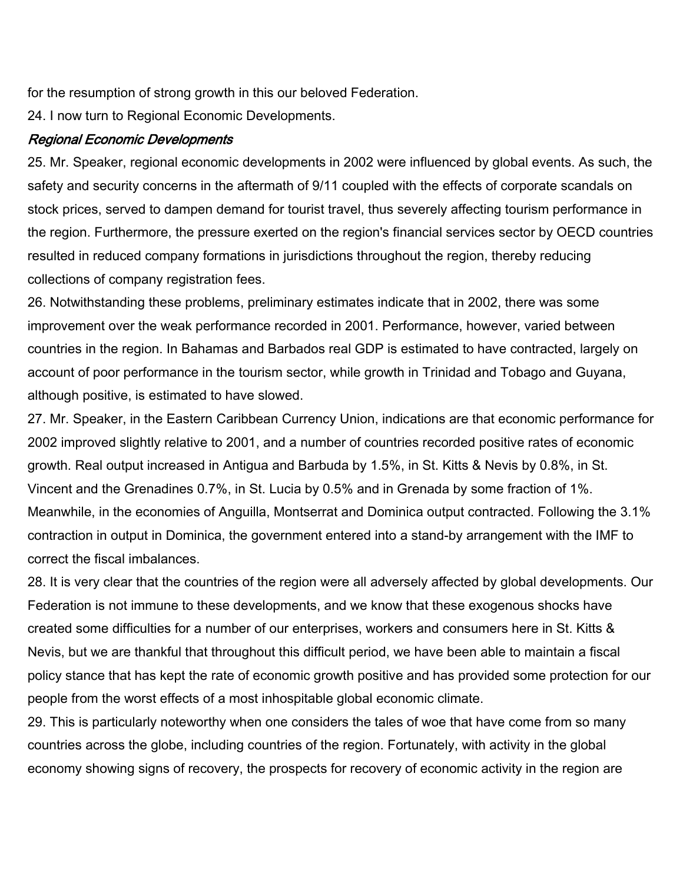for the resumption of strong growth in this our beloved Federation.

24. I now turn to Regional Economic Developments.

# Regional Economic Developments

25. Mr. Speaker, regional economic developments in 2002 were influenced by global events. As such, the safety and security concerns in the aftermath of 9/11 coupled with the effects of corporate scandals on stock prices, served to dampen demand for tourist travel, thus severely affecting tourism performance in the region. Furthermore, the pressure exerted on the region's financial services sector by OECD countries resulted in reduced company formations in jurisdictions throughout the region, thereby reducing collections of company registration fees.

26. Notwithstanding these problems, preliminary estimates indicate that in 2002, there was some improvement over the weak performance recorded in 2001. Performance, however, varied between countries in the region. In Bahamas and Barbados real GDP is estimated to have contracted, largely on account of poor performance in the tourism sector, while growth in Trinidad and Tobago and Guyana, although positive, is estimated to have slowed.

27. Mr. Speaker, in the Eastern Caribbean Currency Union, indications are that economic performance for 2002 improved slightly relative to 2001, and a number of countries recorded positive rates of economic growth. Real output increased in Antigua and Barbuda by 1.5%, in St. Kitts & Nevis by 0.8%, in St. Vincent and the Grenadines 0.7%, in St. Lucia by 0.5% and in Grenada by some fraction of 1%. Meanwhile, in the economies of Anguilla, Montserrat and Dominica output contracted. Following the 3.1% contraction in output in Dominica, the government entered into a stand-by arrangement with the IMF to correct the fiscal imbalances.

28. It is very clear that the countries of the region were all adversely affected by global developments. Our Federation is not immune to these developments, and we know that these exogenous shocks have created some difficulties for a number of our enterprises, workers and consumers here in St. Kitts & Nevis, but we are thankful that throughout this difficult period, we have been able to maintain a fiscal policy stance that has kept the rate of economic growth positive and has provided some protection for our people from the worst effects of a most inhospitable global economic climate.

29. This is particularly noteworthy when one considers the tales of woe that have come from so many countries across the globe, including countries of the region. Fortunately, with activity in the global economy showing signs of recovery, the prospects for recovery of economic activity in the region are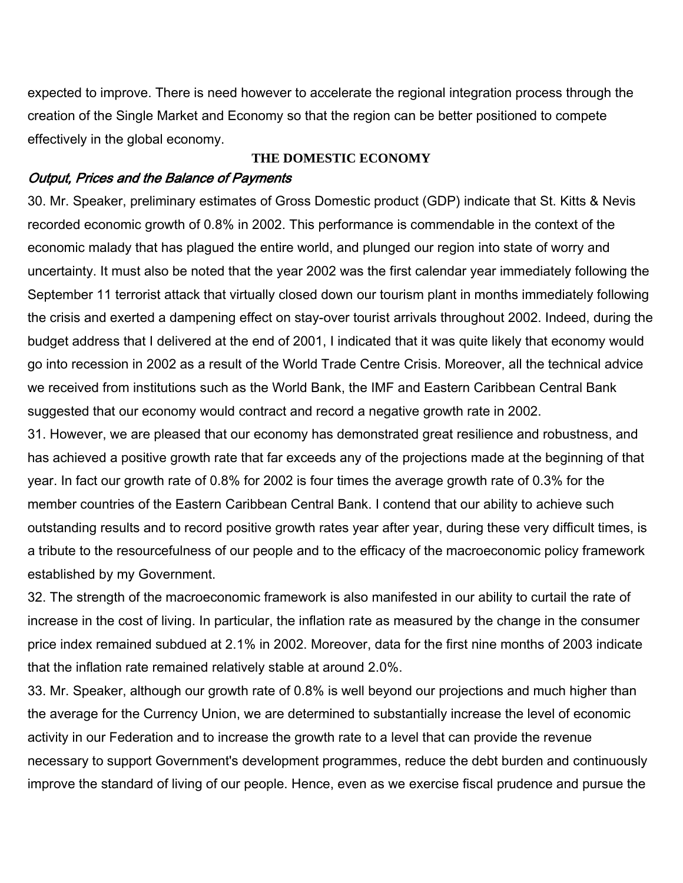expected to improve. There is need however to accelerate the regional integration process through the creation of the Single Market and Economy so that the region can be better positioned to compete effectively in the global economy.

#### **THE DOMESTIC ECONOMY**

#### Output, Prices and the Balance of Payments

30. Mr. Speaker, preliminary estimates of Gross Domestic product (GDP) indicate that St. Kitts & Nevis recorded economic growth of 0.8% in 2002. This performance is commendable in the context of the economic malady that has plagued the entire world, and plunged our region into state of worry and uncertainty. It must also be noted that the year 2002 was the first calendar year immediately following the September 11 terrorist attack that virtually closed down our tourism plant in months immediately following the crisis and exerted a dampening effect on stay-over tourist arrivals throughout 2002. Indeed, during the budget address that I delivered at the end of 2001, I indicated that it was quite likely that economy would go into recession in 2002 as a result of the World Trade Centre Crisis. Moreover, all the technical advice we received from institutions such as the World Bank, the IMF and Eastern Caribbean Central Bank suggested that our economy would contract and record a negative growth rate in 2002.

31. However, we are pleased that our economy has demonstrated great resilience and robustness, and has achieved a positive growth rate that far exceeds any of the projections made at the beginning of that year. In fact our growth rate of 0.8% for 2002 is four times the average growth rate of 0.3% for the member countries of the Eastern Caribbean Central Bank. I contend that our ability to achieve such outstanding results and to record positive growth rates year after year, during these very difficult times, is a tribute to the resourcefulness of our people and to the efficacy of the macroeconomic policy framework established by my Government.

32. The strength of the macroeconomic framework is also manifested in our ability to curtail the rate of increase in the cost of living. In particular, the inflation rate as measured by the change in the consumer price index remained subdued at 2.1% in 2002. Moreover, data for the first nine months of 2003 indicate that the inflation rate remained relatively stable at around 2.0%.

33. Mr. Speaker, although our growth rate of 0.8% is well beyond our projections and much higher than the average for the Currency Union, we are determined to substantially increase the level of economic activity in our Federation and to increase the growth rate to a level that can provide the revenue necessary to support Government's development programmes, reduce the debt burden and continuously improve the standard of living of our people. Hence, even as we exercise fiscal prudence and pursue the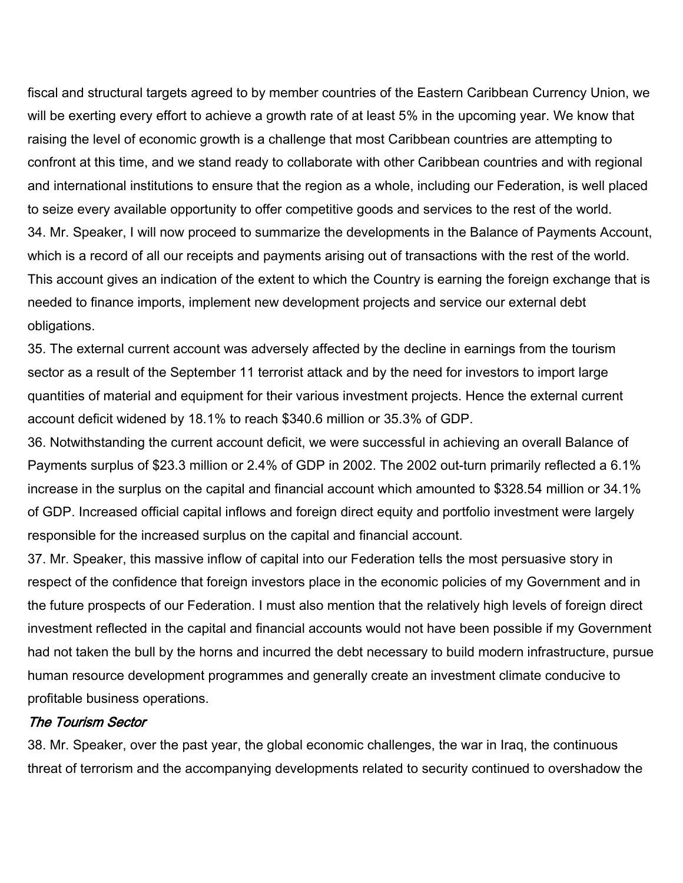fiscal and structural targets agreed to by member countries of the Eastern Caribbean Currency Union, we will be exerting every effort to achieve a growth rate of at least 5% in the upcoming year. We know that raising the level of economic growth is a challenge that most Caribbean countries are attempting to confront at this time, and we stand ready to collaborate with other Caribbean countries and with regional and international institutions to ensure that the region as a whole, including our Federation, is well placed to seize every available opportunity to offer competitive goods and services to the rest of the world. 34. Mr. Speaker, I will now proceed to summarize the developments in the Balance of Payments Account, which is a record of all our receipts and payments arising out of transactions with the rest of the world. This account gives an indication of the extent to which the Country is earning the foreign exchange that is needed to finance imports, implement new development projects and service our external debt obligations.

35. The external current account was adversely affected by the decline in earnings from the tourism sector as a result of the September 11 terrorist attack and by the need for investors to import large quantities of material and equipment for their various investment projects. Hence the external current account deficit widened by 18.1% to reach \$340.6 million or 35.3% of GDP.

36. Notwithstanding the current account deficit, we were successful in achieving an overall Balance of Payments surplus of \$23.3 million or 2.4% of GDP in 2002. The 2002 out-turn primarily reflected a 6.1% increase in the surplus on the capital and financial account which amounted to \$328.54 million or 34.1% of GDP. Increased official capital inflows and foreign direct equity and portfolio investment were largely responsible for the increased surplus on the capital and financial account.

37. Mr. Speaker, this massive inflow of capital into our Federation tells the most persuasive story in respect of the confidence that foreign investors place in the economic policies of my Government and in the future prospects of our Federation. I must also mention that the relatively high levels of foreign direct investment reflected in the capital and financial accounts would not have been possible if my Government had not taken the bull by the horns and incurred the debt necessary to build modern infrastructure, pursue human resource development programmes and generally create an investment climate conducive to profitable business operations.

#### The Tourism Sector

38. Mr. Speaker, over the past year, the global economic challenges, the war in Iraq, the continuous threat of terrorism and the accompanying developments related to security continued to overshadow the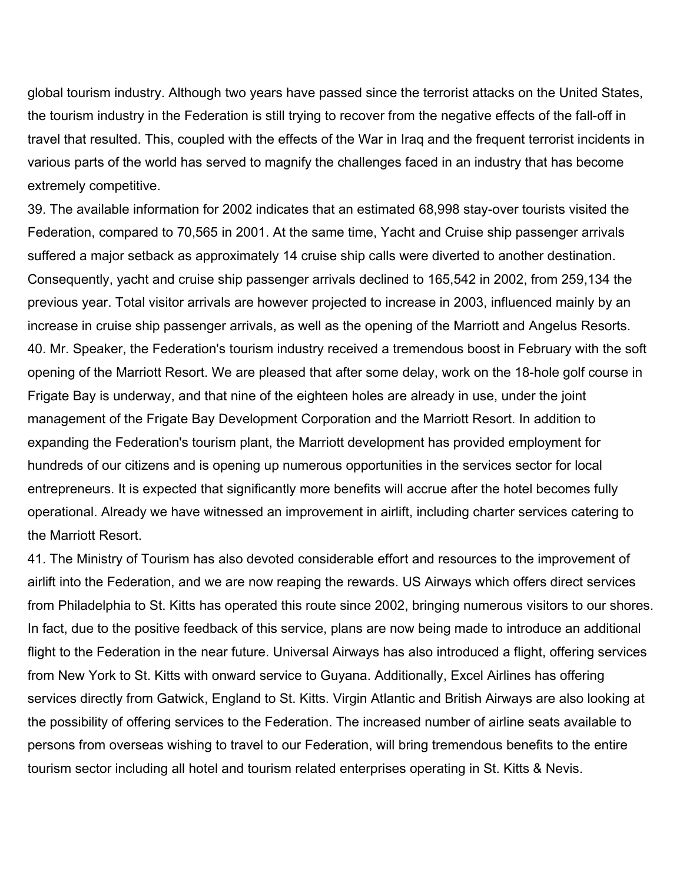global tourism industry. Although two years have passed since the terrorist attacks on the United States, the tourism industry in the Federation is still trying to recover from the negative effects of the fall-off in travel that resulted. This, coupled with the effects of the War in Iraq and the frequent terrorist incidents in various parts of the world has served to magnify the challenges faced in an industry that has become extremely competitive.

39. The available information for 2002 indicates that an estimated 68,998 stay-over tourists visited the Federation, compared to 70,565 in 2001. At the same time, Yacht and Cruise ship passenger arrivals suffered a major setback as approximately 14 cruise ship calls were diverted to another destination. Consequently, yacht and cruise ship passenger arrivals declined to 165,542 in 2002, from 259,134 the previous year. Total visitor arrivals are however projected to increase in 2003, influenced mainly by an increase in cruise ship passenger arrivals, as well as the opening of the Marriott and Angelus Resorts. 40. Mr. Speaker, the Federation's tourism industry received a tremendous boost in February with the soft opening of the Marriott Resort. We are pleased that after some delay, work on the 18-hole golf course in Frigate Bay is underway, and that nine of the eighteen holes are already in use, under the joint management of the Frigate Bay Development Corporation and the Marriott Resort. In addition to expanding the Federation's tourism plant, the Marriott development has provided employment for hundreds of our citizens and is opening up numerous opportunities in the services sector for local entrepreneurs. It is expected that significantly more benefits will accrue after the hotel becomes fully operational. Already we have witnessed an improvement in airlift, including charter services catering to the Marriott Resort.

41. The Ministry of Tourism has also devoted considerable effort and resources to the improvement of airlift into the Federation, and we are now reaping the rewards. US Airways which offers direct services from Philadelphia to St. Kitts has operated this route since 2002, bringing numerous visitors to our shores. In fact, due to the positive feedback of this service, plans are now being made to introduce an additional flight to the Federation in the near future. Universal Airways has also introduced a flight, offering services from New York to St. Kitts with onward service to Guyana. Additionally, Excel Airlines has offering services directly from Gatwick, England to St. Kitts. Virgin Atlantic and British Airways are also looking at the possibility of offering services to the Federation. The increased number of airline seats available to persons from overseas wishing to travel to our Federation, will bring tremendous benefits to the entire tourism sector including all hotel and tourism related enterprises operating in St. Kitts & Nevis.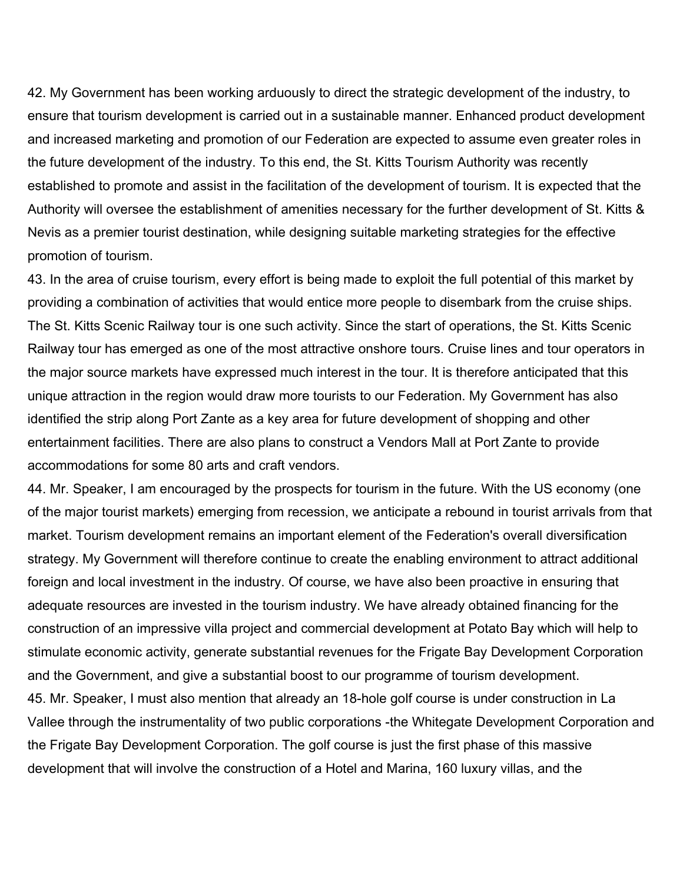42. My Government has been working arduously to direct the strategic development of the industry, to ensure that tourism development is carried out in a sustainable manner. Enhanced product development and increased marketing and promotion of our Federation are expected to assume even greater roles in the future development of the industry. To this end, the St. Kitts Tourism Authority was recently established to promote and assist in the facilitation of the development of tourism. It is expected that the Authority will oversee the establishment of amenities necessary for the further development of St. Kitts & Nevis as a premier tourist destination, while designing suitable marketing strategies for the effective promotion of tourism.

43. In the area of cruise tourism, every effort is being made to exploit the full potential of this market by providing a combination of activities that would entice more people to disembark from the cruise ships. The St. Kitts Scenic Railway tour is one such activity. Since the start of operations, the St. Kitts Scenic Railway tour has emerged as one of the most attractive onshore tours. Cruise lines and tour operators in the major source markets have expressed much interest in the tour. It is therefore anticipated that this unique attraction in the region would draw more tourists to our Federation. My Government has also identified the strip along Port Zante as a key area for future development of shopping and other entertainment facilities. There are also plans to construct a Vendors Mall at Port Zante to provide accommodations for some 80 arts and craft vendors.

44. Mr. Speaker, I am encouraged by the prospects for tourism in the future. With the US economy (one of the major tourist markets) emerging from recession, we anticipate a rebound in tourist arrivals from that market. Tourism development remains an important element of the Federation's overall diversification strategy. My Government will therefore continue to create the enabling environment to attract additional foreign and local investment in the industry. Of course, we have also been proactive in ensuring that adequate resources are invested in the tourism industry. We have already obtained financing for the construction of an impressive villa project and commercial development at Potato Bay which will help to stimulate economic activity, generate substantial revenues for the Frigate Bay Development Corporation and the Government, and give a substantial boost to our programme of tourism development. 45. Mr. Speaker, I must also mention that already an 18-hole golf course is under construction in La Vallee through the instrumentality of two public corporations -the Whitegate Development Corporation and the Frigate Bay Development Corporation. The golf course is just the first phase of this massive development that will involve the construction of a Hotel and Marina, 160 luxury villas, and the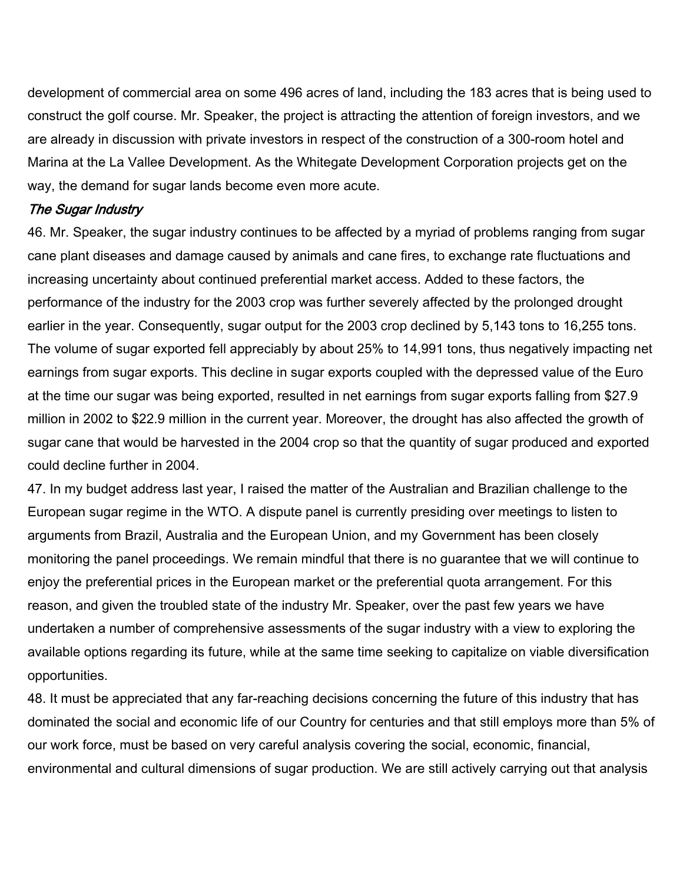development of commercial area on some 496 acres of land, including the 183 acres that is being used to construct the golf course. Mr. Speaker, the project is attracting the attention of foreign investors, and we are already in discussion with private investors in respect of the construction of a 300-room hotel and Marina at the La Vallee Development. As the Whitegate Development Corporation projects get on the way, the demand for sugar lands become even more acute.

### The Sugar Industry

46. Mr. Speaker, the sugar industry continues to be affected by a myriad of problems ranging from sugar cane plant diseases and damage caused by animals and cane fires, to exchange rate fluctuations and increasing uncertainty about continued preferential market access. Added to these factors, the performance of the industry for the 2003 crop was further severely affected by the prolonged drought earlier in the year. Consequently, sugar output for the 2003 crop declined by 5,143 tons to 16,255 tons. The volume of sugar exported fell appreciably by about 25% to 14,991 tons, thus negatively impacting net earnings from sugar exports. This decline in sugar exports coupled with the depressed value of the Euro at the time our sugar was being exported, resulted in net earnings from sugar exports falling from \$27.9 million in 2002 to \$22.9 million in the current year. Moreover, the drought has also affected the growth of sugar cane that would be harvested in the 2004 crop so that the quantity of sugar produced and exported could decline further in 2004.

47. In my budget address last year, I raised the matter of the Australian and Brazilian challenge to the European sugar regime in the WTO. A dispute panel is currently presiding over meetings to listen to arguments from Brazil, Australia and the European Union, and my Government has been closely monitoring the panel proceedings. We remain mindful that there is no guarantee that we will continue to enjoy the preferential prices in the European market or the preferential quota arrangement. For this reason, and given the troubled state of the industry Mr. Speaker, over the past few years we have undertaken a number of comprehensive assessments of the sugar industry with a view to exploring the available options regarding its future, while at the same time seeking to capitalize on viable diversification opportunities.

48. It must be appreciated that any far-reaching decisions concerning the future of this industry that has dominated the social and economic life of our Country for centuries and that still employs more than 5% of our work force, must be based on very careful analysis covering the social, economic, financial, environmental and cultural dimensions of sugar production. We are still actively carrying out that analysis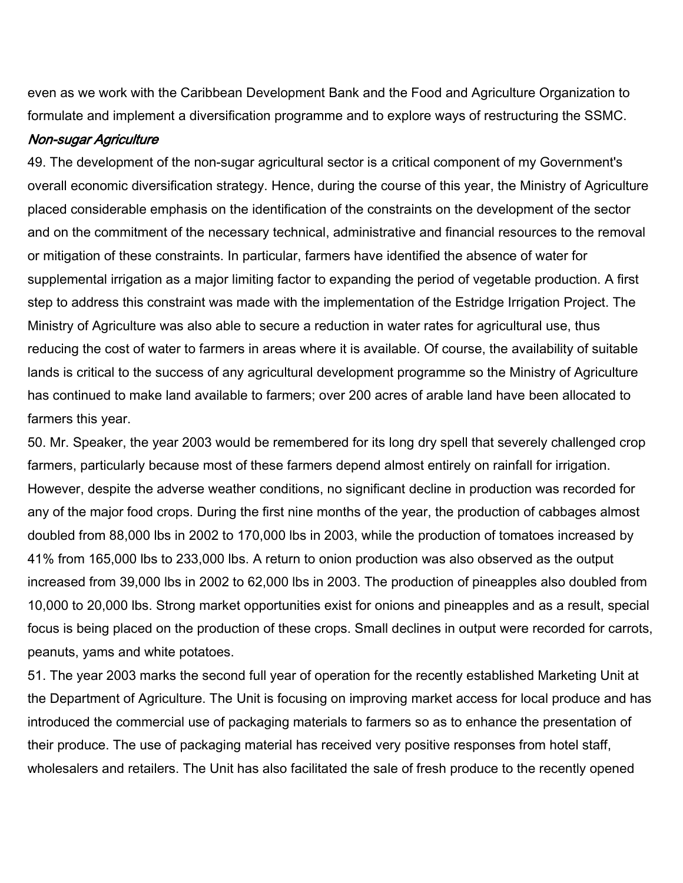even as we work with the Caribbean Development Bank and the Food and Agriculture Organization to formulate and implement a diversification programme and to explore ways of restructuring the SSMC.

### Non-sugar Agriculture

49. The development of the non-sugar agricultural sector is a critical component of my Government's overall economic diversification strategy. Hence, during the course of this year, the Ministry of Agriculture placed considerable emphasis on the identification of the constraints on the development of the sector and on the commitment of the necessary technical, administrative and financial resources to the removal or mitigation of these constraints. In particular, farmers have identified the absence of water for supplemental irrigation as a major limiting factor to expanding the period of vegetable production. A first step to address this constraint was made with the implementation of the Estridge Irrigation Project. The Ministry of Agriculture was also able to secure a reduction in water rates for agricultural use, thus reducing the cost of water to farmers in areas where it is available. Of course, the availability of suitable lands is critical to the success of any agricultural development programme so the Ministry of Agriculture has continued to make land available to farmers; over 200 acres of arable land have been allocated to farmers this year.

50. Mr. Speaker, the year 2003 would be remembered for its long dry spell that severely challenged crop farmers, particularly because most of these farmers depend almost entirely on rainfall for irrigation. However, despite the adverse weather conditions, no significant decline in production was recorded for any of the major food crops. During the first nine months of the year, the production of cabbages almost doubled from 88,000 lbs in 2002 to 170,000 lbs in 2003, while the production of tomatoes increased by 41% from 165,000 lbs to 233,000 lbs. A return to onion production was also observed as the output increased from 39,000 lbs in 2002 to 62,000 lbs in 2003. The production of pineapples also doubled from 10,000 to 20,000 lbs. Strong market opportunities exist for onions and pineapples and as a result, special focus is being placed on the production of these crops. Small declines in output were recorded for carrots, peanuts, yams and white potatoes.

51. The year 2003 marks the second full year of operation for the recently established Marketing Unit at the Department of Agriculture. The Unit is focusing on improving market access for local produce and has introduced the commercial use of packaging materials to farmers so as to enhance the presentation of their produce. The use of packaging material has received very positive responses from hotel staff, wholesalers and retailers. The Unit has also facilitated the sale of fresh produce to the recently opened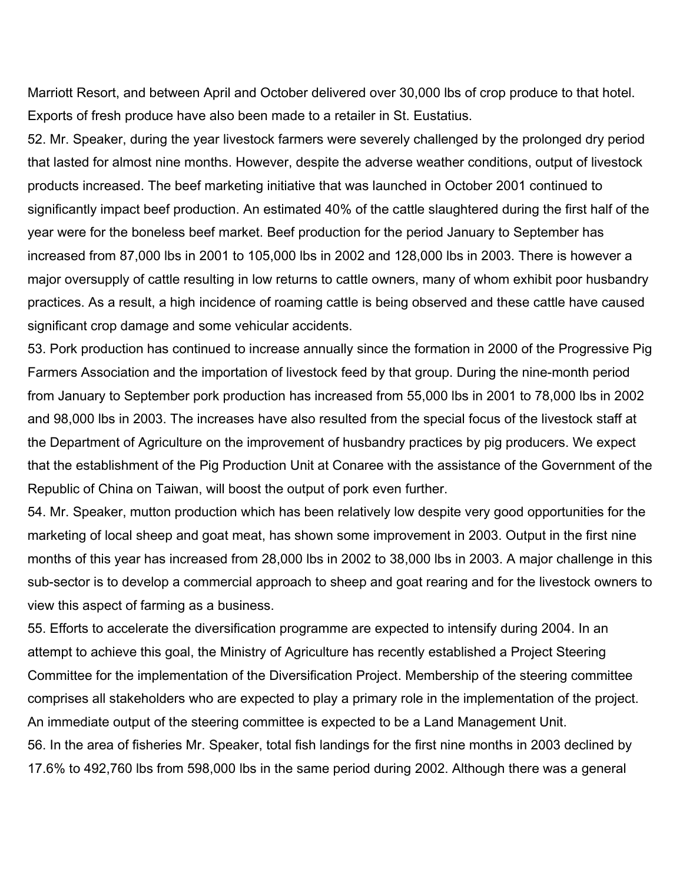Marriott Resort, and between April and October delivered over 30,000 lbs of crop produce to that hotel. Exports of fresh produce have also been made to a retailer in St. Eustatius.

52. Mr. Speaker, during the year livestock farmers were severely challenged by the prolonged dry period that lasted for almost nine months. However, despite the adverse weather conditions, output of livestock products increased. The beef marketing initiative that was launched in October 2001 continued to significantly impact beef production. An estimated 40% of the cattle slaughtered during the first half of the year were for the boneless beef market. Beef production for the period January to September has increased from 87,000 lbs in 2001 to 105,000 lbs in 2002 and 128,000 lbs in 2003. There is however a major oversupply of cattle resulting in low returns to cattle owners, many of whom exhibit poor husbandry practices. As a result, a high incidence of roaming cattle is being observed and these cattle have caused significant crop damage and some vehicular accidents.

53. Pork production has continued to increase annually since the formation in 2000 of the Progressive Pig Farmers Association and the importation of livestock feed by that group. During the nine-month period from January to September pork production has increased from 55,000 lbs in 2001 to 78,000 lbs in 2002 and 98,000 lbs in 2003. The increases have also resulted from the special focus of the livestock staff at the Department of Agriculture on the improvement of husbandry practices by pig producers. We expect that the establishment of the Pig Production Unit at Conaree with the assistance of the Government of the Republic of China on Taiwan, will boost the output of pork even further.

54. Mr. Speaker, mutton production which has been relatively low despite very good opportunities for the marketing of local sheep and goat meat, has shown some improvement in 2003. Output in the first nine months of this year has increased from 28,000 lbs in 2002 to 38,000 lbs in 2003. A major challenge in this sub-sector is to develop a commercial approach to sheep and goat rearing and for the livestock owners to view this aspect of farming as a business.

55. Efforts to accelerate the diversification programme are expected to intensify during 2004. In an attempt to achieve this goal, the Ministry of Agriculture has recently established a Project Steering Committee for the implementation of the Diversification Project. Membership of the steering committee comprises all stakeholders who are expected to play a primary role in the implementation of the project. An immediate output of the steering committee is expected to be a Land Management Unit. 56. In the area of fisheries Mr. Speaker, total fish landings for the first nine months in 2003 declined by 17.6% to 492,760 lbs from 598,000 lbs in the same period during 2002. Although there was a general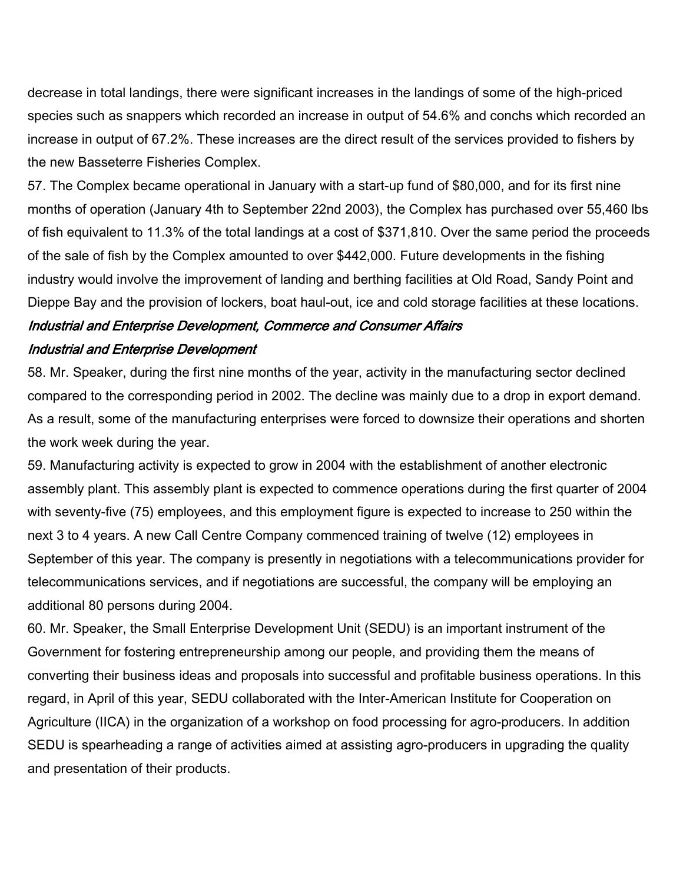decrease in total landings, there were significant increases in the landings of some of the high-priced species such as snappers which recorded an increase in output of 54.6% and conchs which recorded an increase in output of 67.2%. These increases are the direct result of the services provided to fishers by the new Basseterre Fisheries Complex.

57. The Complex became operational in January with a start-up fund of \$80,000, and for its first nine months of operation (January 4th to September 22nd 2003), the Complex has purchased over 55,460 lbs of fish equivalent to 11.3% of the total landings at a cost of \$371,810. Over the same period the proceeds of the sale of fish by the Complex amounted to over \$442,000. Future developments in the fishing industry would involve the improvement of landing and berthing facilities at Old Road, Sandy Point and Dieppe Bay and the provision of lockers, boat haul-out, ice and cold storage facilities at these locations.

# Industrial and Enterprise Development, Commerce and Consumer Affairs Industrial and Enterprise Development

58. Mr. Speaker, during the first nine months of the year, activity in the manufacturing sector declined compared to the corresponding period in 2002. The decline was mainly due to a drop in export demand. As a result, some of the manufacturing enterprises were forced to downsize their operations and shorten the work week during the year.

59. Manufacturing activity is expected to grow in 2004 with the establishment of another electronic assembly plant. This assembly plant is expected to commence operations during the first quarter of 2004 with seventy-five (75) employees, and this employment figure is expected to increase to 250 within the next 3 to 4 years. A new Call Centre Company commenced training of twelve (12) employees in September of this year. The company is presently in negotiations with a telecommunications provider for telecommunications services, and if negotiations are successful, the company will be employing an additional 80 persons during 2004.

60. Mr. Speaker, the Small Enterprise Development Unit (SEDU) is an important instrument of the Government for fostering entrepreneurship among our people, and providing them the means of converting their business ideas and proposals into successful and profitable business operations. In this regard, in April of this year, SEDU collaborated with the Inter-American Institute for Cooperation on Agriculture (IICA) in the organization of a workshop on food processing for agro-producers. In addition SEDU is spearheading a range of activities aimed at assisting agro-producers in upgrading the quality and presentation of their products.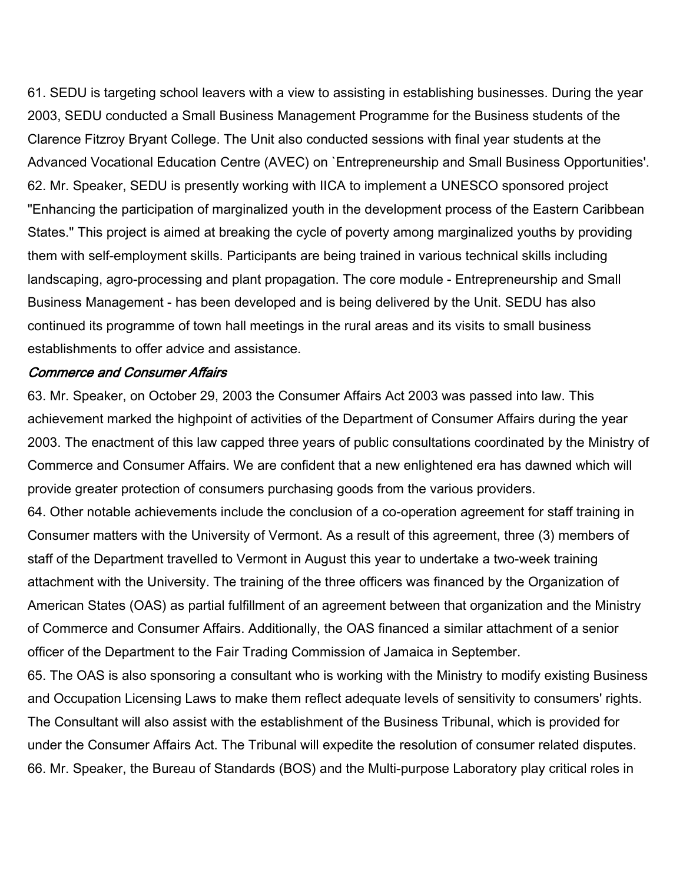61. SEDU is targeting school leavers with a view to assisting in establishing businesses. During the year 2003, SEDU conducted a Small Business Management Programme for the Business students of the Clarence Fitzroy Bryant College. The Unit also conducted sessions with final year students at the Advanced Vocational Education Centre (AVEC) on `Entrepreneurship and Small Business Opportunities'. 62. Mr. Speaker, SEDU is presently working with IICA to implement a UNESCO sponsored project "Enhancing the participation of marginalized youth in the development process of the Eastern Caribbean States." This project is aimed at breaking the cycle of poverty among marginalized youths by providing them with self-employment skills. Participants are being trained in various technical skills including landscaping, agro-processing and plant propagation. The core module - Entrepreneurship and Small Business Management - has been developed and is being delivered by the Unit. SEDU has also continued its programme of town hall meetings in the rural areas and its visits to small business establishments to offer advice and assistance.

#### Commerce and Consumer Affairs

63. Mr. Speaker, on October 29, 2003 the Consumer Affairs Act 2003 was passed into law. This achievement marked the highpoint of activities of the Department of Consumer Affairs during the year 2003. The enactment of this law capped three years of public consultations coordinated by the Ministry of Commerce and Consumer Affairs. We are confident that a new enlightened era has dawned which will provide greater protection of consumers purchasing goods from the various providers.

64. Other notable achievements include the conclusion of a co-operation agreement for staff training in Consumer matters with the University of Vermont. As a result of this agreement, three (3) members of staff of the Department travelled to Vermont in August this year to undertake a two-week training attachment with the University. The training of the three officers was financed by the Organization of American States (OAS) as partial fulfillment of an agreement between that organization and the Ministry of Commerce and Consumer Affairs. Additionally, the OAS financed a similar attachment of a senior officer of the Department to the Fair Trading Commission of Jamaica in September.

65. The OAS is also sponsoring a consultant who is working with the Ministry to modify existing Business and Occupation Licensing Laws to make them reflect adequate levels of sensitivity to consumers' rights. The Consultant will also assist with the establishment of the Business Tribunal, which is provided for under the Consumer Affairs Act. The Tribunal will expedite the resolution of consumer related disputes. 66. Mr. Speaker, the Bureau of Standards (BOS) and the Multi-purpose Laboratory play critical roles in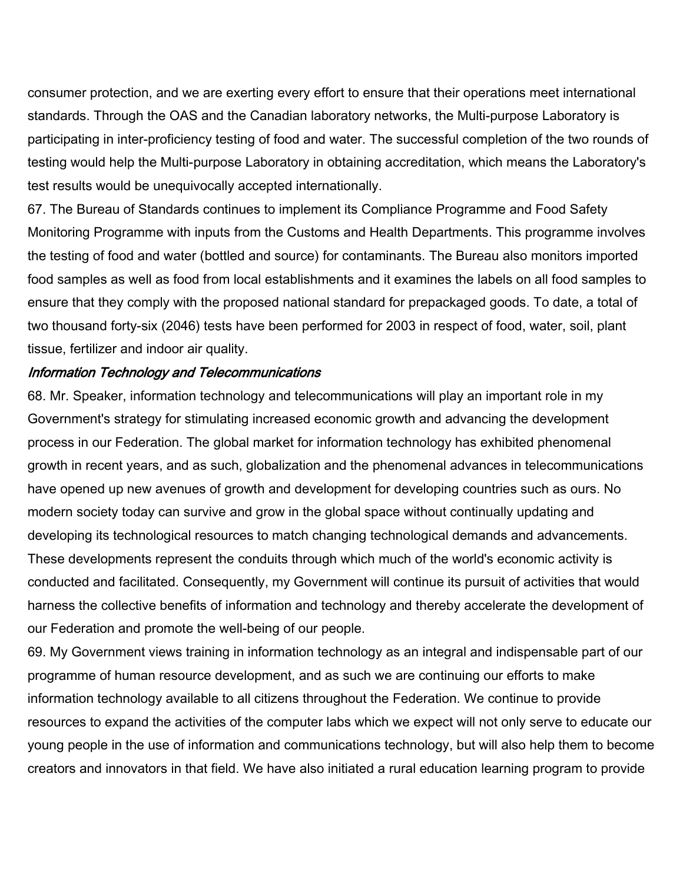consumer protection, and we are exerting every effort to ensure that their operations meet international standards. Through the OAS and the Canadian laboratory networks, the Multi-purpose Laboratory is participating in inter-proficiency testing of food and water. The successful completion of the two rounds of testing would help the Multi-purpose Laboratory in obtaining accreditation, which means the Laboratory's test results would be unequivocally accepted internationally.

67. The Bureau of Standards continues to implement its Compliance Programme and Food Safety Monitoring Programme with inputs from the Customs and Health Departments. This programme involves the testing of food and water (bottled and source) for contaminants. The Bureau also monitors imported food samples as well as food from local establishments and it examines the labels on all food samples to ensure that they comply with the proposed national standard for prepackaged goods. To date, a total of two thousand forty-six (2046) tests have been performed for 2003 in respect of food, water, soil, plant tissue, fertilizer and indoor air quality.

#### Information Technology and Telecommunications

68. Mr. Speaker, information technology and telecommunications will play an important role in my Government's strategy for stimulating increased economic growth and advancing the development process in our Federation. The global market for information technology has exhibited phenomenal growth in recent years, and as such, globalization and the phenomenal advances in telecommunications have opened up new avenues of growth and development for developing countries such as ours. No modern society today can survive and grow in the global space without continually updating and developing its technological resources to match changing technological demands and advancements. These developments represent the conduits through which much of the world's economic activity is conducted and facilitated. Consequently, my Government will continue its pursuit of activities that would harness the collective benefits of information and technology and thereby accelerate the development of our Federation and promote the well-being of our people.

69. My Government views training in information technology as an integral and indispensable part of our programme of human resource development, and as such we are continuing our efforts to make information technology available to all citizens throughout the Federation. We continue to provide resources to expand the activities of the computer labs which we expect will not only serve to educate our young people in the use of information and communications technology, but will also help them to become creators and innovators in that field. We have also initiated a rural education learning program to provide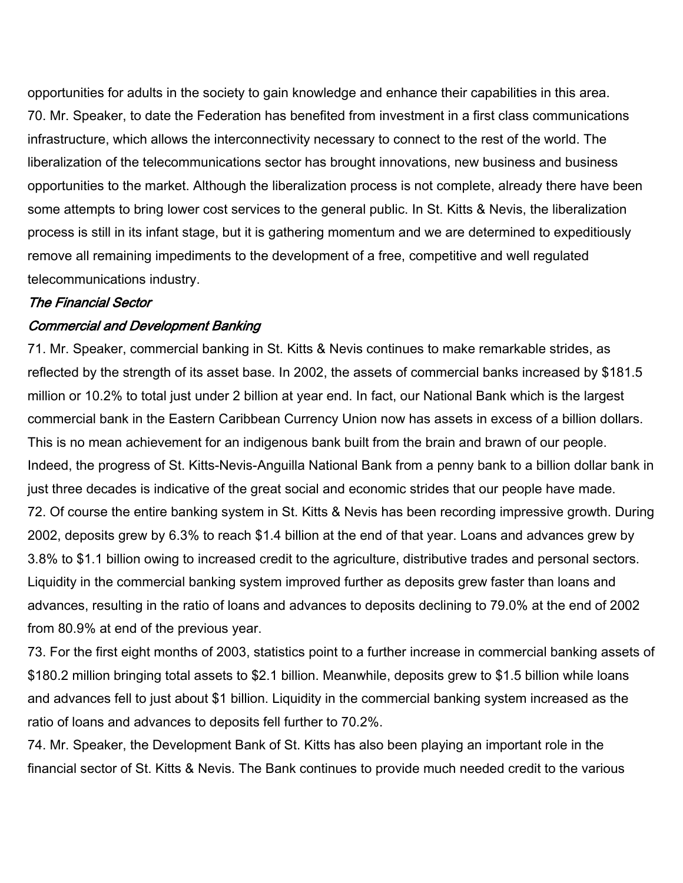opportunities for adults in the society to gain knowledge and enhance their capabilities in this area. 70. Mr. Speaker, to date the Federation has benefited from investment in a first class communications infrastructure, which allows the interconnectivity necessary to connect to the rest of the world. The liberalization of the telecommunications sector has brought innovations, new business and business opportunities to the market. Although the liberalization process is not complete, already there have been some attempts to bring lower cost services to the general public. In St. Kitts & Nevis, the liberalization process is still in its infant stage, but it is gathering momentum and we are determined to expeditiously remove all remaining impediments to the development of a free, competitive and well regulated telecommunications industry.

#### The Financial Sector

# Commercial and Development Banking

71. Mr. Speaker, commercial banking in St. Kitts & Nevis continues to make remarkable strides, as reflected by the strength of its asset base. In 2002, the assets of commercial banks increased by \$181.5 million or 10.2% to total just under 2 billion at year end. In fact, our National Bank which is the largest commercial bank in the Eastern Caribbean Currency Union now has assets in excess of a billion dollars. This is no mean achievement for an indigenous bank built from the brain and brawn of our people. Indeed, the progress of St. Kitts-Nevis-Anguilla National Bank from a penny bank to a billion dollar bank in just three decades is indicative of the great social and economic strides that our people have made. 72. Of course the entire banking system in St. Kitts & Nevis has been recording impressive growth. During 2002, deposits grew by 6.3% to reach \$1.4 billion at the end of that year. Loans and advances grew by 3.8% to \$1.1 billion owing to increased credit to the agriculture, distributive trades and personal sectors. Liquidity in the commercial banking system improved further as deposits grew faster than loans and advances, resulting in the ratio of loans and advances to deposits declining to 79.0% at the end of 2002 from 80.9% at end of the previous year.

73. For the first eight months of 2003, statistics point to a further increase in commercial banking assets of \$180.2 million bringing total assets to \$2.1 billion. Meanwhile, deposits grew to \$1.5 billion while loans and advances fell to just about \$1 billion. Liquidity in the commercial banking system increased as the ratio of loans and advances to deposits fell further to 70.2%.

74. Mr. Speaker, the Development Bank of St. Kitts has also been playing an important role in the financial sector of St. Kitts & Nevis. The Bank continues to provide much needed credit to the various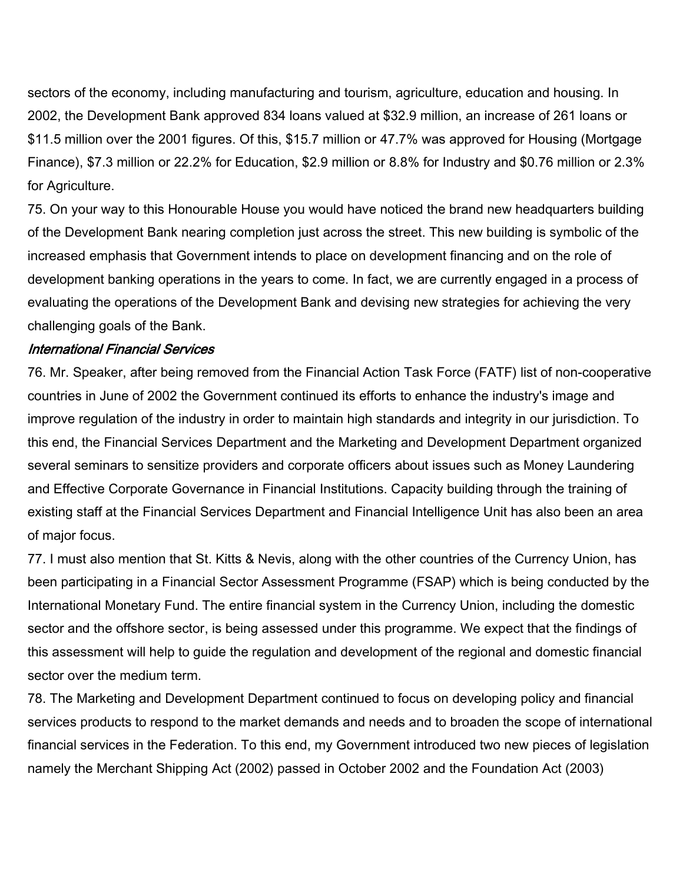sectors of the economy, including manufacturing and tourism, agriculture, education and housing. In 2002, the Development Bank approved 834 loans valued at \$32.9 million, an increase of 261 loans or \$11.5 million over the 2001 figures. Of this, \$15.7 million or 47.7% was approved for Housing (Mortgage Finance), \$7.3 million or 22.2% for Education, \$2.9 million or 8.8% for Industry and \$0.76 million or 2.3% for Agriculture.

75. On your way to this Honourable House you would have noticed the brand new headquarters building of the Development Bank nearing completion just across the street. This new building is symbolic of the increased emphasis that Government intends to place on development financing and on the role of development banking operations in the years to come. In fact, we are currently engaged in a process of evaluating the operations of the Development Bank and devising new strategies for achieving the very challenging goals of the Bank.

#### International Financial Services

76. Mr. Speaker, after being removed from the Financial Action Task Force (FATF) list of non-cooperative countries in June of 2002 the Government continued its efforts to enhance the industry's image and improve regulation of the industry in order to maintain high standards and integrity in our jurisdiction. To this end, the Financial Services Department and the Marketing and Development Department organized several seminars to sensitize providers and corporate officers about issues such as Money Laundering and Effective Corporate Governance in Financial Institutions. Capacity building through the training of existing staff at the Financial Services Department and Financial Intelligence Unit has also been an area of major focus.

77. I must also mention that St. Kitts & Nevis, along with the other countries of the Currency Union, has been participating in a Financial Sector Assessment Programme (FSAP) which is being conducted by the International Monetary Fund. The entire financial system in the Currency Union, including the domestic sector and the offshore sector, is being assessed under this programme. We expect that the findings of this assessment will help to guide the regulation and development of the regional and domestic financial sector over the medium term.

78. The Marketing and Development Department continued to focus on developing policy and financial services products to respond to the market demands and needs and to broaden the scope of international financial services in the Federation. To this end, my Government introduced two new pieces of legislation namely the Merchant Shipping Act (2002) passed in October 2002 and the Foundation Act (2003)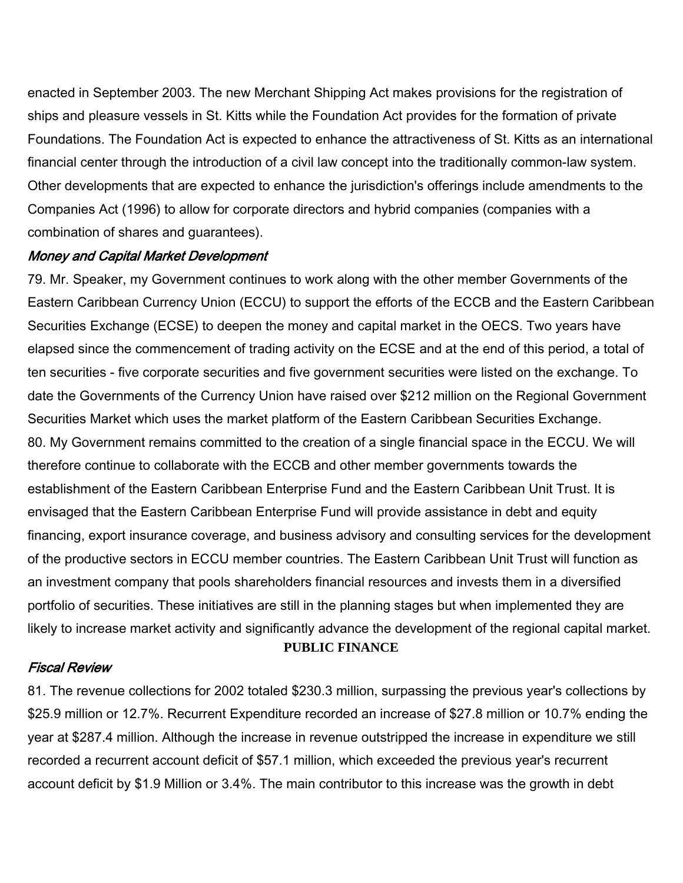enacted in September 2003. The new Merchant Shipping Act makes provisions for the registration of ships and pleasure vessels in St. Kitts while the Foundation Act provides for the formation of private Foundations. The Foundation Act is expected to enhance the attractiveness of St. Kitts as an international financial center through the introduction of a civil law concept into the traditionally common-law system. Other developments that are expected to enhance the jurisdiction's offerings include amendments to the Companies Act (1996) to allow for corporate directors and hybrid companies (companies with a combination of shares and guarantees).

#### Money and Capital Market Development

79. Mr. Speaker, my Government continues to work along with the other member Governments of the Eastern Caribbean Currency Union (ECCU) to support the efforts of the ECCB and the Eastern Caribbean Securities Exchange (ECSE) to deepen the money and capital market in the OECS. Two years have elapsed since the commencement of trading activity on the ECSE and at the end of this period, a total of ten securities - five corporate securities and five government securities were listed on the exchange. To date the Governments of the Currency Union have raised over \$212 million on the Regional Government Securities Market which uses the market platform of the Eastern Caribbean Securities Exchange. 80. My Government remains committed to the creation of a single financial space in the ECCU. We will therefore continue to collaborate with the ECCB and other member governments towards the establishment of the Eastern Caribbean Enterprise Fund and the Eastern Caribbean Unit Trust. It is envisaged that the Eastern Caribbean Enterprise Fund will provide assistance in debt and equity financing, export insurance coverage, and business advisory and consulting services for the development of the productive sectors in ECCU member countries. The Eastern Caribbean Unit Trust will function as an investment company that pools shareholders financial resources and invests them in a diversified portfolio of securities. These initiatives are still in the planning stages but when implemented they are likely to increase market activity and significantly advance the development of the regional capital market. **PUBLIC FINANCE**

#### Fiscal Review

81. The revenue collections for 2002 totaled \$230.3 million, surpassing the previous year's collections by \$25.9 million or 12.7%. Recurrent Expenditure recorded an increase of \$27.8 million or 10.7% ending the year at \$287.4 million. Although the increase in revenue outstripped the increase in expenditure we still recorded a recurrent account deficit of \$57.1 million, which exceeded the previous year's recurrent account deficit by \$1.9 Million or 3.4%. The main contributor to this increase was the growth in debt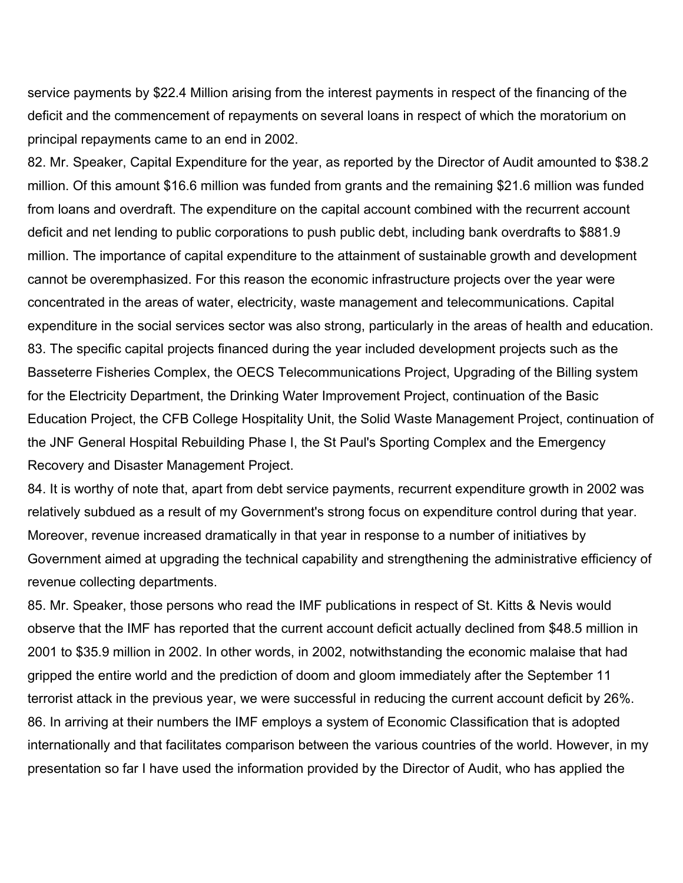service payments by \$22.4 Million arising from the interest payments in respect of the financing of the deficit and the commencement of repayments on several loans in respect of which the moratorium on principal repayments came to an end in 2002.

82. Mr. Speaker, Capital Expenditure for the year, as reported by the Director of Audit amounted to \$38.2 million. Of this amount \$16.6 million was funded from grants and the remaining \$21.6 million was funded from loans and overdraft. The expenditure on the capital account combined with the recurrent account deficit and net lending to public corporations to push public debt, including bank overdrafts to \$881.9 million. The importance of capital expenditure to the attainment of sustainable growth and development cannot be overemphasized. For this reason the economic infrastructure projects over the year were concentrated in the areas of water, electricity, waste management and telecommunications. Capital expenditure in the social services sector was also strong, particularly in the areas of health and education. 83. The specific capital projects financed during the year included development projects such as the Basseterre Fisheries Complex, the OECS Telecommunications Project, Upgrading of the Billing system for the Electricity Department, the Drinking Water Improvement Project, continuation of the Basic Education Project, the CFB College Hospitality Unit, the Solid Waste Management Project, continuation of the JNF General Hospital Rebuilding Phase I, the St Paul's Sporting Complex and the Emergency Recovery and Disaster Management Project.

84. It is worthy of note that, apart from debt service payments, recurrent expenditure growth in 2002 was relatively subdued as a result of my Government's strong focus on expenditure control during that year. Moreover, revenue increased dramatically in that year in response to a number of initiatives by Government aimed at upgrading the technical capability and strengthening the administrative efficiency of revenue collecting departments.

85. Mr. Speaker, those persons who read the IMF publications in respect of St. Kitts & Nevis would observe that the IMF has reported that the current account deficit actually declined from \$48.5 million in 2001 to \$35.9 million in 2002. In other words, in 2002, notwithstanding the economic malaise that had gripped the entire world and the prediction of doom and gloom immediately after the September 11 terrorist attack in the previous year, we were successful in reducing the current account deficit by 26%. 86. In arriving at their numbers the IMF employs a system of Economic Classification that is adopted internationally and that facilitates comparison between the various countries of the world. However, in my presentation so far I have used the information provided by the Director of Audit, who has applied the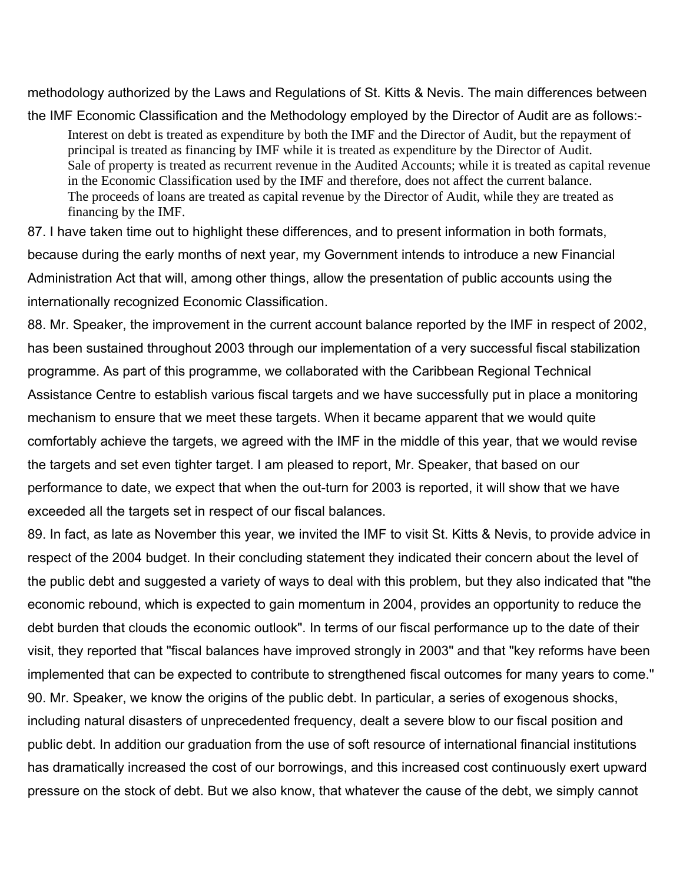methodology authorized by the Laws and Regulations of St. Kitts & Nevis. The main differences between

the IMF Economic Classification and the Methodology employed by the Director of Audit are as follows:- Interest on debt is treated as expenditure by both the IMF and the Director of Audit, but the repayment of principal is treated as financing by IMF while it is treated as expenditure by the Director of Audit. Sale of property is treated as recurrent revenue in the Audited Accounts; while it is treated as capital revenue in the Economic Classification used by the IMF and therefore, does not affect the current balance. The proceeds of loans are treated as capital revenue by the Director of Audit, while they are treated as financing by the IMF.

87. I have taken time out to highlight these differences, and to present information in both formats, because during the early months of next year, my Government intends to introduce a new Financial Administration Act that will, among other things, allow the presentation of public accounts using the internationally recognized Economic Classification.

88. Mr. Speaker, the improvement in the current account balance reported by the IMF in respect of 2002, has been sustained throughout 2003 through our implementation of a very successful fiscal stabilization programme. As part of this programme, we collaborated with the Caribbean Regional Technical Assistance Centre to establish various fiscal targets and we have successfully put in place a monitoring mechanism to ensure that we meet these targets. When it became apparent that we would quite comfortably achieve the targets, we agreed with the IMF in the middle of this year, that we would revise the targets and set even tighter target. I am pleased to report, Mr. Speaker, that based on our performance to date, we expect that when the out-turn for 2003 is reported, it will show that we have exceeded all the targets set in respect of our fiscal balances.

89. In fact, as late as November this year, we invited the IMF to visit St. Kitts & Nevis, to provide advice in respect of the 2004 budget. In their concluding statement they indicated their concern about the level of the public debt and suggested a variety of ways to deal with this problem, but they also indicated that "the economic rebound, which is expected to gain momentum in 2004, provides an opportunity to reduce the debt burden that clouds the economic outlook". In terms of our fiscal performance up to the date of their visit, they reported that "fiscal balances have improved strongly in 2003" and that "key reforms have been implemented that can be expected to contribute to strengthened fiscal outcomes for many years to come." 90. Mr. Speaker, we know the origins of the public debt. In particular, a series of exogenous shocks, including natural disasters of unprecedented frequency, dealt a severe blow to our fiscal position and public debt. In addition our graduation from the use of soft resource of international financial institutions has dramatically increased the cost of our borrowings, and this increased cost continuously exert upward pressure on the stock of debt. But we also know, that whatever the cause of the debt, we simply cannot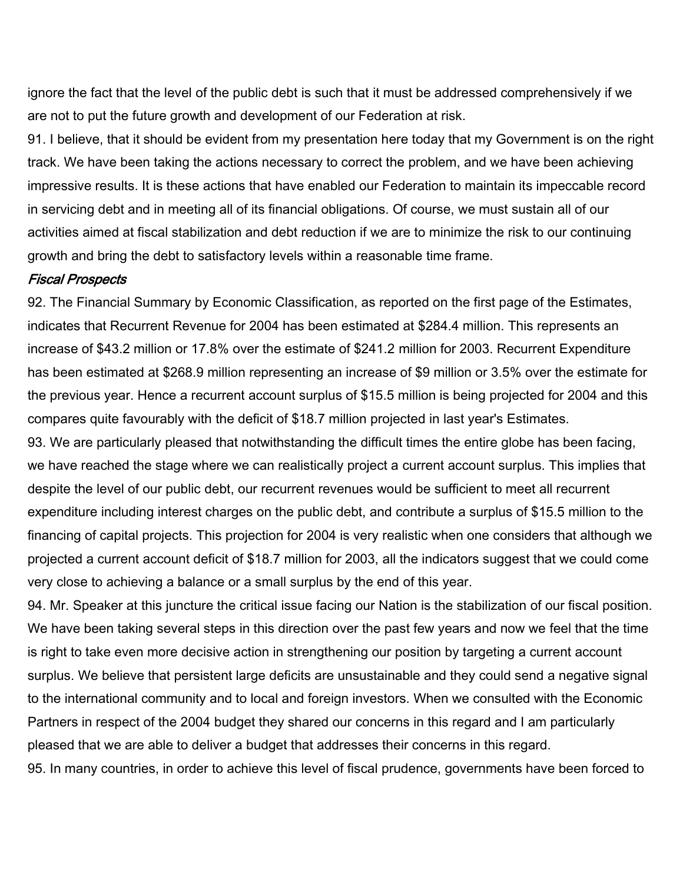ignore the fact that the level of the public debt is such that it must be addressed comprehensively if we are not to put the future growth and development of our Federation at risk.

91. I believe, that it should be evident from my presentation here today that my Government is on the right track. We have been taking the actions necessary to correct the problem, and we have been achieving impressive results. It is these actions that have enabled our Federation to maintain its impeccable record in servicing debt and in meeting all of its financial obligations. Of course, we must sustain all of our activities aimed at fiscal stabilization and debt reduction if we are to minimize the risk to our continuing growth and bring the debt to satisfactory levels within a reasonable time frame.

#### Fiscal Prospects

92. The Financial Summary by Economic Classification, as reported on the first page of the Estimates, indicates that Recurrent Revenue for 2004 has been estimated at \$284.4 million. This represents an increase of \$43.2 million or 17.8% over the estimate of \$241.2 million for 2003. Recurrent Expenditure has been estimated at \$268.9 million representing an increase of \$9 million or 3.5% over the estimate for the previous year. Hence a recurrent account surplus of \$15.5 million is being projected for 2004 and this compares quite favourably with the deficit of \$18.7 million projected in last year's Estimates.

93. We are particularly pleased that notwithstanding the difficult times the entire globe has been facing, we have reached the stage where we can realistically project a current account surplus. This implies that despite the level of our public debt, our recurrent revenues would be sufficient to meet all recurrent expenditure including interest charges on the public debt, and contribute a surplus of \$15.5 million to the financing of capital projects. This projection for 2004 is very realistic when one considers that although we projected a current account deficit of \$18.7 million for 2003, all the indicators suggest that we could come very close to achieving a balance or a small surplus by the end of this year.

94. Mr. Speaker at this juncture the critical issue facing our Nation is the stabilization of our fiscal position. We have been taking several steps in this direction over the past few years and now we feel that the time is right to take even more decisive action in strengthening our position by targeting a current account surplus. We believe that persistent large deficits are unsustainable and they could send a negative signal to the international community and to local and foreign investors. When we consulted with the Economic Partners in respect of the 2004 budget they shared our concerns in this regard and I am particularly pleased that we are able to deliver a budget that addresses their concerns in this regard. 95. In many countries, in order to achieve this level of fiscal prudence, governments have been forced to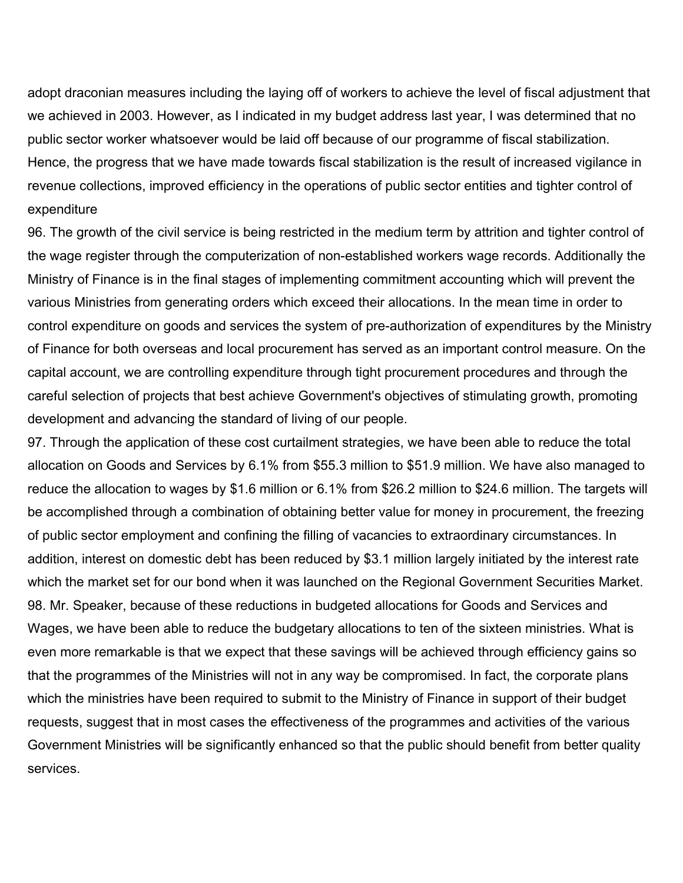adopt draconian measures including the laying off of workers to achieve the level of fiscal adjustment that we achieved in 2003. However, as I indicated in my budget address last year, I was determined that no public sector worker whatsoever would be laid off because of our programme of fiscal stabilization. Hence, the progress that we have made towards fiscal stabilization is the result of increased vigilance in revenue collections, improved efficiency in the operations of public sector entities and tighter control of expenditure

96. The growth of the civil service is being restricted in the medium term by attrition and tighter control of the wage register through the computerization of non-established workers wage records. Additionally the Ministry of Finance is in the final stages of implementing commitment accounting which will prevent the various Ministries from generating orders which exceed their allocations. In the mean time in order to control expenditure on goods and services the system of pre-authorization of expenditures by the Ministry of Finance for both overseas and local procurement has served as an important control measure. On the capital account, we are controlling expenditure through tight procurement procedures and through the careful selection of projects that best achieve Government's objectives of stimulating growth, promoting development and advancing the standard of living of our people.

97. Through the application of these cost curtailment strategies, we have been able to reduce the total allocation on Goods and Services by 6.1% from \$55.3 million to \$51.9 million. We have also managed to reduce the allocation to wages by \$1.6 million or 6.1% from \$26.2 million to \$24.6 million. The targets will be accomplished through a combination of obtaining better value for money in procurement, the freezing of public sector employment and confining the filling of vacancies to extraordinary circumstances. In addition, interest on domestic debt has been reduced by \$3.1 million largely initiated by the interest rate which the market set for our bond when it was launched on the Regional Government Securities Market. 98. Mr. Speaker, because of these reductions in budgeted allocations for Goods and Services and Wages, we have been able to reduce the budgetary allocations to ten of the sixteen ministries. What is even more remarkable is that we expect that these savings will be achieved through efficiency gains so that the programmes of the Ministries will not in any way be compromised. In fact, the corporate plans which the ministries have been required to submit to the Ministry of Finance in support of their budget requests, suggest that in most cases the effectiveness of the programmes and activities of the various Government Ministries will be significantly enhanced so that the public should benefit from better quality services.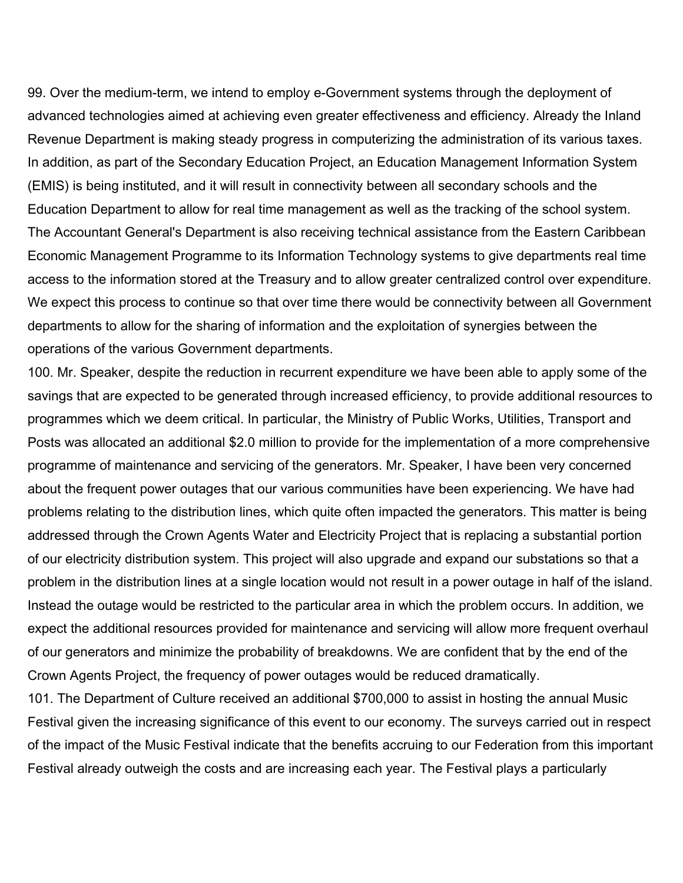99. Over the medium-term, we intend to employ e-Government systems through the deployment of advanced technologies aimed at achieving even greater effectiveness and efficiency. Already the Inland Revenue Department is making steady progress in computerizing the administration of its various taxes. In addition, as part of the Secondary Education Project, an Education Management Information System (EMIS) is being instituted, and it will result in connectivity between all secondary schools and the Education Department to allow for real time management as well as the tracking of the school system. The Accountant General's Department is also receiving technical assistance from the Eastern Caribbean Economic Management Programme to its Information Technology systems to give departments real time access to the information stored at the Treasury and to allow greater centralized control over expenditure. We expect this process to continue so that over time there would be connectivity between all Government departments to allow for the sharing of information and the exploitation of synergies between the operations of the various Government departments.

100. Mr. Speaker, despite the reduction in recurrent expenditure we have been able to apply some of the savings that are expected to be generated through increased efficiency, to provide additional resources to programmes which we deem critical. In particular, the Ministry of Public Works, Utilities, Transport and Posts was allocated an additional \$2.0 million to provide for the implementation of a more comprehensive programme of maintenance and servicing of the generators. Mr. Speaker, I have been very concerned about the frequent power outages that our various communities have been experiencing. We have had problems relating to the distribution lines, which quite often impacted the generators. This matter is being addressed through the Crown Agents Water and Electricity Project that is replacing a substantial portion of our electricity distribution system. This project will also upgrade and expand our substations so that a problem in the distribution lines at a single location would not result in a power outage in half of the island. Instead the outage would be restricted to the particular area in which the problem occurs. In addition, we expect the additional resources provided for maintenance and servicing will allow more frequent overhaul of our generators and minimize the probability of breakdowns. We are confident that by the end of the Crown Agents Project, the frequency of power outages would be reduced dramatically.

101. The Department of Culture received an additional \$700,000 to assist in hosting the annual Music Festival given the increasing significance of this event to our economy. The surveys carried out in respect of the impact of the Music Festival indicate that the benefits accruing to our Federation from this important Festival already outweigh the costs and are increasing each year. The Festival plays a particularly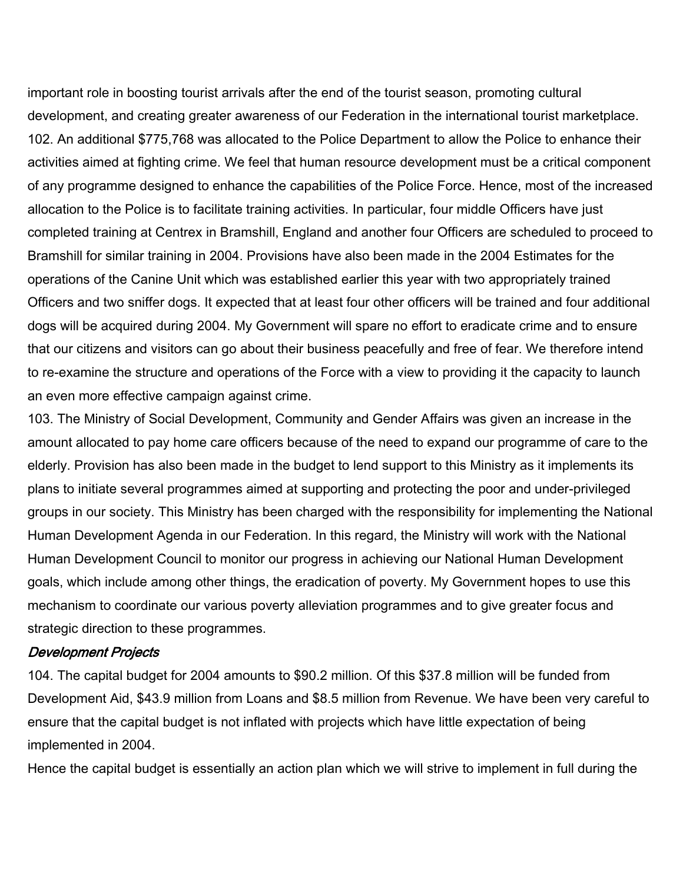important role in boosting tourist arrivals after the end of the tourist season, promoting cultural development, and creating greater awareness of our Federation in the international tourist marketplace. 102. An additional \$775,768 was allocated to the Police Department to allow the Police to enhance their activities aimed at fighting crime. We feel that human resource development must be a critical component of any programme designed to enhance the capabilities of the Police Force. Hence, most of the increased allocation to the Police is to facilitate training activities. In particular, four middle Officers have just completed training at Centrex in Bramshill, England and another four Officers are scheduled to proceed to Bramshill for similar training in 2004. Provisions have also been made in the 2004 Estimates for the operations of the Canine Unit which was established earlier this year with two appropriately trained Officers and two sniffer dogs. It expected that at least four other officers will be trained and four additional dogs will be acquired during 2004. My Government will spare no effort to eradicate crime and to ensure that our citizens and visitors can go about their business peacefully and free of fear. We therefore intend to re-examine the structure and operations of the Force with a view to providing it the capacity to launch an even more effective campaign against crime.

103. The Ministry of Social Development, Community and Gender Affairs was given an increase in the amount allocated to pay home care officers because of the need to expand our programme of care to the elderly. Provision has also been made in the budget to lend support to this Ministry as it implements its plans to initiate several programmes aimed at supporting and protecting the poor and under-privileged groups in our society. This Ministry has been charged with the responsibility for implementing the National Human Development Agenda in our Federation. In this regard, the Ministry will work with the National Human Development Council to monitor our progress in achieving our National Human Development goals, which include among other things, the eradication of poverty. My Government hopes to use this mechanism to coordinate our various poverty alleviation programmes and to give greater focus and strategic direction to these programmes.

#### Development Projects

104. The capital budget for 2004 amounts to \$90.2 million. Of this \$37.8 million will be funded from Development Aid, \$43.9 million from Loans and \$8.5 million from Revenue. We have been very careful to ensure that the capital budget is not inflated with projects which have little expectation of being implemented in 2004.

Hence the capital budget is essentially an action plan which we will strive to implement in full during the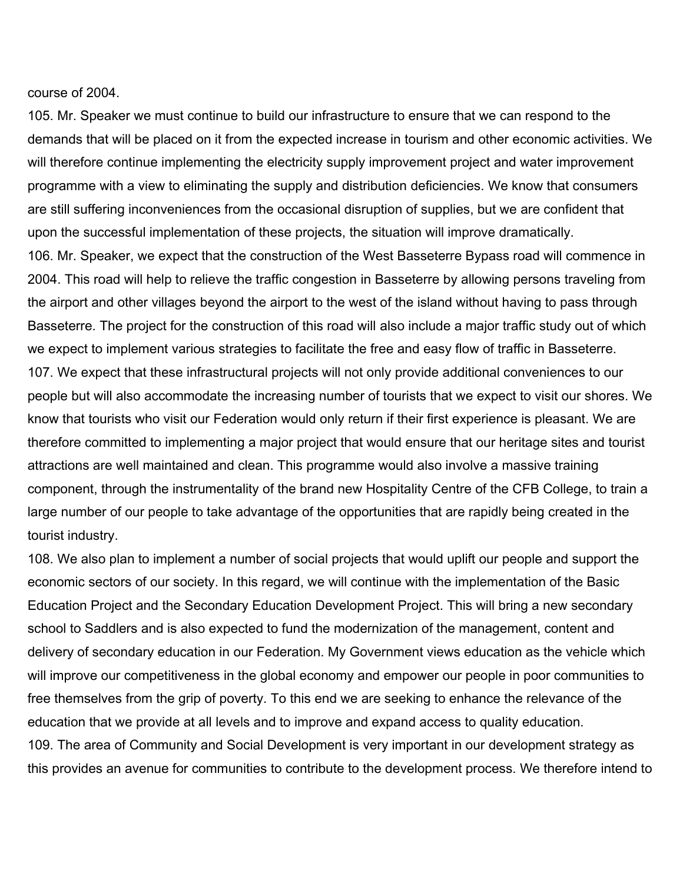course of 2004.

105. Mr. Speaker we must continue to build our infrastructure to ensure that we can respond to the demands that will be placed on it from the expected increase in tourism and other economic activities. We will therefore continue implementing the electricity supply improvement project and water improvement programme with a view to eliminating the supply and distribution deficiencies. We know that consumers are still suffering inconveniences from the occasional disruption of supplies, but we are confident that upon the successful implementation of these projects, the situation will improve dramatically. 106. Mr. Speaker, we expect that the construction of the West Basseterre Bypass road will commence in 2004. This road will help to relieve the traffic congestion in Basseterre by allowing persons traveling from the airport and other villages beyond the airport to the west of the island without having to pass through Basseterre. The project for the construction of this road will also include a major traffic study out of which we expect to implement various strategies to facilitate the free and easy flow of traffic in Basseterre. 107. We expect that these infrastructural projects will not only provide additional conveniences to our people but will also accommodate the increasing number of tourists that we expect to visit our shores. We know that tourists who visit our Federation would only return if their first experience is pleasant. We are therefore committed to implementing a major project that would ensure that our heritage sites and tourist attractions are well maintained and clean. This programme would also involve a massive training component, through the instrumentality of the brand new Hospitality Centre of the CFB College, to train a large number of our people to take advantage of the opportunities that are rapidly being created in the tourist industry.

108. We also plan to implement a number of social projects that would uplift our people and support the economic sectors of our society. In this regard, we will continue with the implementation of the Basic Education Project and the Secondary Education Development Project. This will bring a new secondary school to Saddlers and is also expected to fund the modernization of the management, content and delivery of secondary education in our Federation. My Government views education as the vehicle which will improve our competitiveness in the global economy and empower our people in poor communities to free themselves from the grip of poverty. To this end we are seeking to enhance the relevance of the education that we provide at all levels and to improve and expand access to quality education. 109. The area of Community and Social Development is very important in our development strategy as this provides an avenue for communities to contribute to the development process. We therefore intend to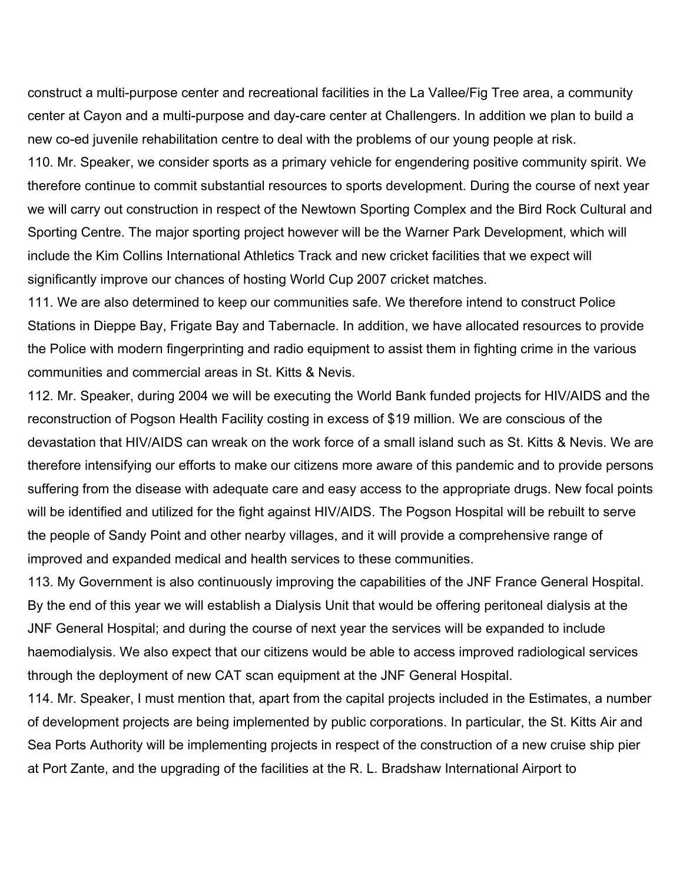construct a multi-purpose center and recreational facilities in the La Vallee/Fig Tree area, a community center at Cayon and a multi-purpose and day-care center at Challengers. In addition we plan to build a new co-ed juvenile rehabilitation centre to deal with the problems of our young people at risk.

110. Mr. Speaker, we consider sports as a primary vehicle for engendering positive community spirit. We therefore continue to commit substantial resources to sports development. During the course of next year we will carry out construction in respect of the Newtown Sporting Complex and the Bird Rock Cultural and Sporting Centre. The major sporting project however will be the Warner Park Development, which will include the Kim Collins International Athletics Track and new cricket facilities that we expect will significantly improve our chances of hosting World Cup 2007 cricket matches.

111. We are also determined to keep our communities safe. We therefore intend to construct Police Stations in Dieppe Bay, Frigate Bay and Tabernacle. In addition, we have allocated resources to provide the Police with modern fingerprinting and radio equipment to assist them in fighting crime in the various communities and commercial areas in St. Kitts & Nevis.

112. Mr. Speaker, during 2004 we will be executing the World Bank funded projects for HIV/AIDS and the reconstruction of Pogson Health Facility costing in excess of \$19 million. We are conscious of the devastation that HIV/AIDS can wreak on the work force of a small island such as St. Kitts & Nevis. We are therefore intensifying our efforts to make our citizens more aware of this pandemic and to provide persons suffering from the disease with adequate care and easy access to the appropriate drugs. New focal points will be identified and utilized for the fight against HIV/AIDS. The Pogson Hospital will be rebuilt to serve the people of Sandy Point and other nearby villages, and it will provide a comprehensive range of improved and expanded medical and health services to these communities.

113. My Government is also continuously improving the capabilities of the JNF France General Hospital. By the end of this year we will establish a Dialysis Unit that would be offering peritoneal dialysis at the JNF General Hospital; and during the course of next year the services will be expanded to include haemodialysis. We also expect that our citizens would be able to access improved radiological services through the deployment of new CAT scan equipment at the JNF General Hospital.

114. Mr. Speaker, I must mention that, apart from the capital projects included in the Estimates, a number of development projects are being implemented by public corporations. In particular, the St. Kitts Air and Sea Ports Authority will be implementing projects in respect of the construction of a new cruise ship pier at Port Zante, and the upgrading of the facilities at the R. L. Bradshaw International Airport to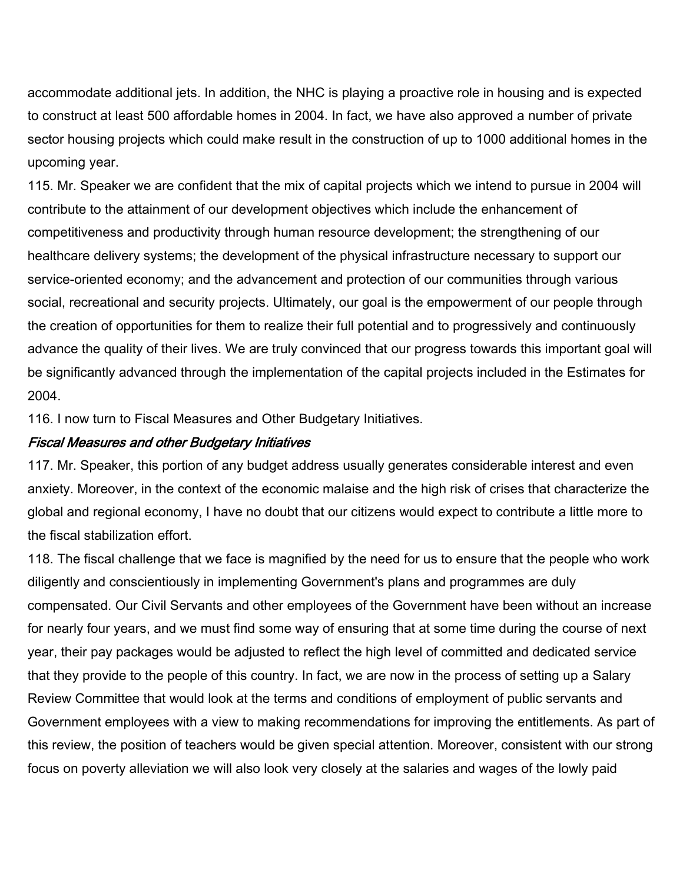accommodate additional jets. In addition, the NHC is playing a proactive role in housing and is expected to construct at least 500 affordable homes in 2004. In fact, we have also approved a number of private sector housing projects which could make result in the construction of up to 1000 additional homes in the upcoming year.

115. Mr. Speaker we are confident that the mix of capital projects which we intend to pursue in 2004 will contribute to the attainment of our development objectives which include the enhancement of competitiveness and productivity through human resource development; the strengthening of our healthcare delivery systems; the development of the physical infrastructure necessary to support our service-oriented economy; and the advancement and protection of our communities through various social, recreational and security projects. Ultimately, our goal is the empowerment of our people through the creation of opportunities for them to realize their full potential and to progressively and continuously advance the quality of their lives. We are truly convinced that our progress towards this important goal will be significantly advanced through the implementation of the capital projects included in the Estimates for 2004.

116. I now turn to Fiscal Measures and Other Budgetary Initiatives.

### Fiscal Measures and other Budgetary Initiatives

117. Mr. Speaker, this portion of any budget address usually generates considerable interest and even anxiety. Moreover, in the context of the economic malaise and the high risk of crises that characterize the global and regional economy, I have no doubt that our citizens would expect to contribute a little more to the fiscal stabilization effort.

118. The fiscal challenge that we face is magnified by the need for us to ensure that the people who work diligently and conscientiously in implementing Government's plans and programmes are duly compensated. Our Civil Servants and other employees of the Government have been without an increase for nearly four years, and we must find some way of ensuring that at some time during the course of next year, their pay packages would be adjusted to reflect the high level of committed and dedicated service that they provide to the people of this country. In fact, we are now in the process of setting up a Salary Review Committee that would look at the terms and conditions of employment of public servants and Government employees with a view to making recommendations for improving the entitlements. As part of this review, the position of teachers would be given special attention. Moreover, consistent with our strong focus on poverty alleviation we will also look very closely at the salaries and wages of the lowly paid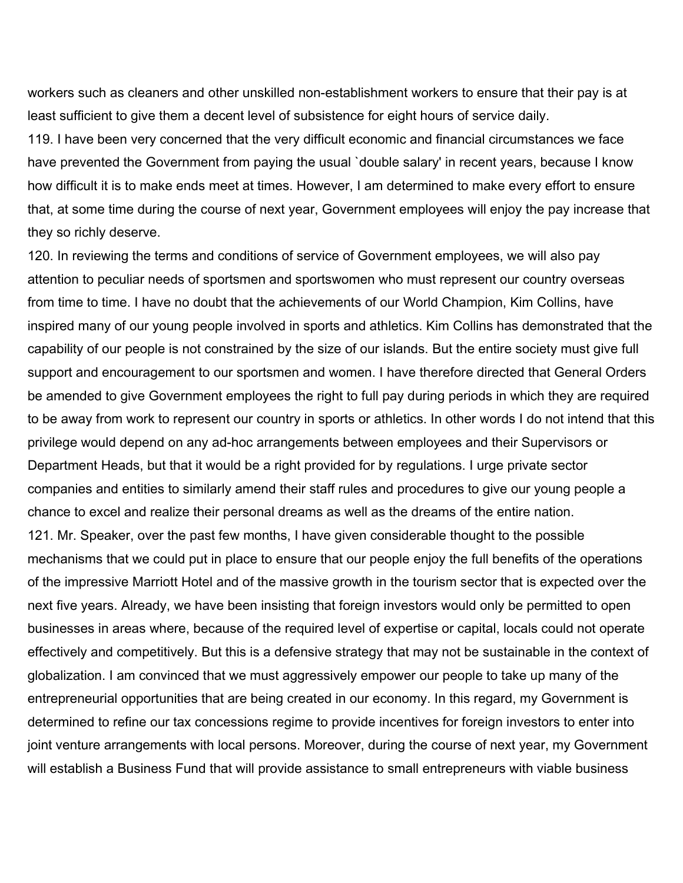workers such as cleaners and other unskilled non-establishment workers to ensure that their pay is at least sufficient to give them a decent level of subsistence for eight hours of service daily.

119. I have been very concerned that the very difficult economic and financial circumstances we face have prevented the Government from paying the usual `double salary' in recent years, because I know how difficult it is to make ends meet at times. However, I am determined to make every effort to ensure that, at some time during the course of next year, Government employees will enjoy the pay increase that they so richly deserve.

120. In reviewing the terms and conditions of service of Government employees, we will also pay attention to peculiar needs of sportsmen and sportswomen who must represent our country overseas from time to time. I have no doubt that the achievements of our World Champion, Kim Collins, have inspired many of our young people involved in sports and athletics. Kim Collins has demonstrated that the capability of our people is not constrained by the size of our islands. But the entire society must give full support and encouragement to our sportsmen and women. I have therefore directed that General Orders be amended to give Government employees the right to full pay during periods in which they are required to be away from work to represent our country in sports or athletics. In other words I do not intend that this privilege would depend on any ad-hoc arrangements between employees and their Supervisors or Department Heads, but that it would be a right provided for by regulations. I urge private sector companies and entities to similarly amend their staff rules and procedures to give our young people a chance to excel and realize their personal dreams as well as the dreams of the entire nation. 121. Mr. Speaker, over the past few months, I have given considerable thought to the possible mechanisms that we could put in place to ensure that our people enjoy the full benefits of the operations of the impressive Marriott Hotel and of the massive growth in the tourism sector that is expected over the next five years. Already, we have been insisting that foreign investors would only be permitted to open businesses in areas where, because of the required level of expertise or capital, locals could not operate effectively and competitively. But this is a defensive strategy that may not be sustainable in the context of globalization. I am convinced that we must aggressively empower our people to take up many of the entrepreneurial opportunities that are being created in our economy. In this regard, my Government is determined to refine our tax concessions regime to provide incentives for foreign investors to enter into joint venture arrangements with local persons. Moreover, during the course of next year, my Government will establish a Business Fund that will provide assistance to small entrepreneurs with viable business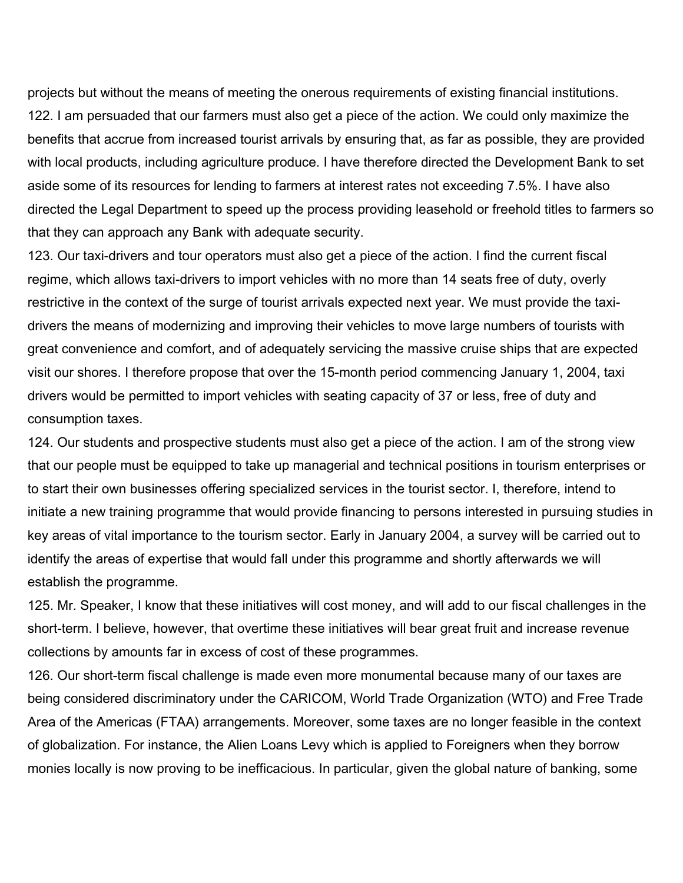projects but without the means of meeting the onerous requirements of existing financial institutions. 122. I am persuaded that our farmers must also get a piece of the action. We could only maximize the benefits that accrue from increased tourist arrivals by ensuring that, as far as possible, they are provided with local products, including agriculture produce. I have therefore directed the Development Bank to set aside some of its resources for lending to farmers at interest rates not exceeding 7.5%. I have also directed the Legal Department to speed up the process providing leasehold or freehold titles to farmers so that they can approach any Bank with adequate security.

123. Our taxi-drivers and tour operators must also get a piece of the action. I find the current fiscal regime, which allows taxi-drivers to import vehicles with no more than 14 seats free of duty, overly restrictive in the context of the surge of tourist arrivals expected next year. We must provide the taxidrivers the means of modernizing and improving their vehicles to move large numbers of tourists with great convenience and comfort, and of adequately servicing the massive cruise ships that are expected visit our shores. I therefore propose that over the 15-month period commencing January 1, 2004, taxi drivers would be permitted to import vehicles with seating capacity of 37 or less, free of duty and consumption taxes.

124. Our students and prospective students must also get a piece of the action. I am of the strong view that our people must be equipped to take up managerial and technical positions in tourism enterprises or to start their own businesses offering specialized services in the tourist sector. I, therefore, intend to initiate a new training programme that would provide financing to persons interested in pursuing studies in key areas of vital importance to the tourism sector. Early in January 2004, a survey will be carried out to identify the areas of expertise that would fall under this programme and shortly afterwards we will establish the programme.

125. Mr. Speaker, I know that these initiatives will cost money, and will add to our fiscal challenges in the short-term. I believe, however, that overtime these initiatives will bear great fruit and increase revenue collections by amounts far in excess of cost of these programmes.

126. Our short-term fiscal challenge is made even more monumental because many of our taxes are being considered discriminatory under the CARICOM, World Trade Organization (WTO) and Free Trade Area of the Americas (FTAA) arrangements. Moreover, some taxes are no longer feasible in the context of globalization. For instance, the Alien Loans Levy which is applied to Foreigners when they borrow monies locally is now proving to be inefficacious. In particular, given the global nature of banking, some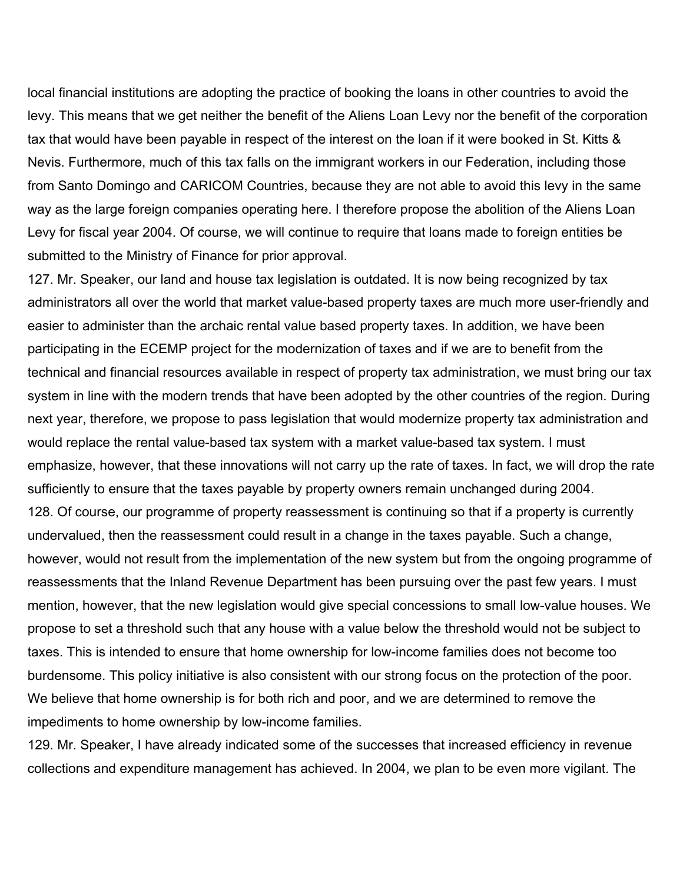local financial institutions are adopting the practice of booking the loans in other countries to avoid the levy. This means that we get neither the benefit of the Aliens Loan Levy nor the benefit of the corporation tax that would have been payable in respect of the interest on the loan if it were booked in St. Kitts & Nevis. Furthermore, much of this tax falls on the immigrant workers in our Federation, including those from Santo Domingo and CARICOM Countries, because they are not able to avoid this levy in the same way as the large foreign companies operating here. I therefore propose the abolition of the Aliens Loan Levy for fiscal year 2004. Of course, we will continue to require that loans made to foreign entities be submitted to the Ministry of Finance for prior approval.

127. Mr. Speaker, our land and house tax legislation is outdated. It is now being recognized by tax administrators all over the world that market value-based property taxes are much more user-friendly and easier to administer than the archaic rental value based property taxes. In addition, we have been participating in the ECEMP project for the modernization of taxes and if we are to benefit from the technical and financial resources available in respect of property tax administration, we must bring our tax system in line with the modern trends that have been adopted by the other countries of the region. During next year, therefore, we propose to pass legislation that would modernize property tax administration and would replace the rental value-based tax system with a market value-based tax system. I must emphasize, however, that these innovations will not carry up the rate of taxes. In fact, we will drop the rate sufficiently to ensure that the taxes payable by property owners remain unchanged during 2004. 128. Of course, our programme of property reassessment is continuing so that if a property is currently undervalued, then the reassessment could result in a change in the taxes payable. Such a change, however, would not result from the implementation of the new system but from the ongoing programme of reassessments that the Inland Revenue Department has been pursuing over the past few years. I must mention, however, that the new legislation would give special concessions to small low-value houses. We propose to set a threshold such that any house with a value below the threshold would not be subject to taxes. This is intended to ensure that home ownership for low-income families does not become too burdensome. This policy initiative is also consistent with our strong focus on the protection of the poor. We believe that home ownership is for both rich and poor, and we are determined to remove the impediments to home ownership by low-income families.

129. Mr. Speaker, I have already indicated some of the successes that increased efficiency in revenue collections and expenditure management has achieved. In 2004, we plan to be even more vigilant. The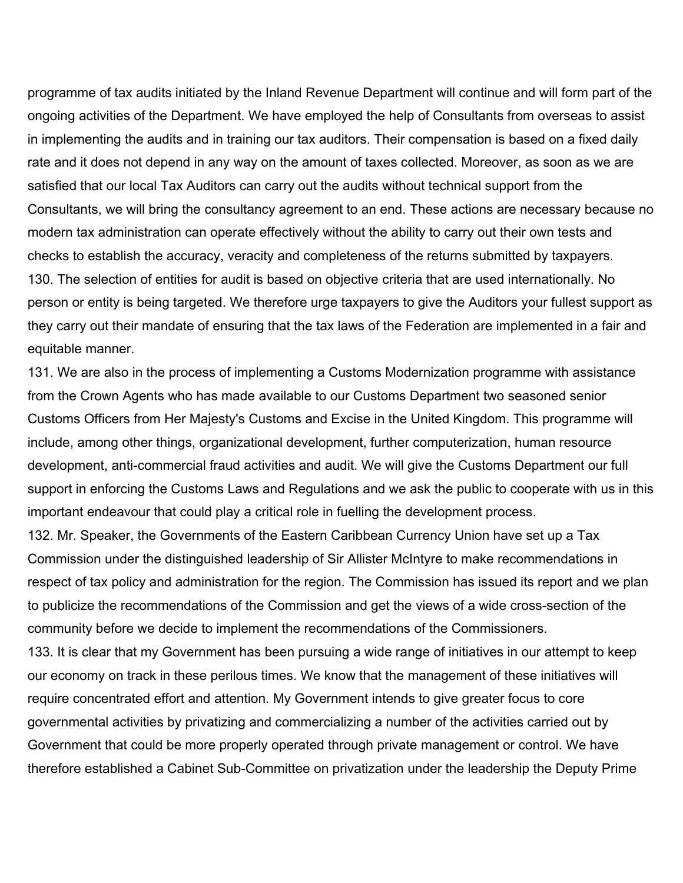programme of tax audits initiated by the Inland Revenue Department will continue and will form part of the ongoing activities of the Department. We have employed the help of Consultants from overseas to assist in implementing the audits and in training our tax auditors. Their compensation is based on a fixed daily rate and it does not depend in any way on the amount of taxes collected. Moreover, as soon as we are satisfied that our local Tax Auditors can carry out the audits without technical support from the Consultants, we will bring the consultancy agreement to an end. These actions are necessary because no modern tax administration can operate effectively without the ability to carry out their own tests and checks to establish the accuracy, veracity and completeness of the returns submitted by taxpayers. 130. The selection of entities for audit is based on objective criteria that are used internationally. No person or entity is being targeted. We therefore urge taxpayers to give the Auditors your fullest support as they carry out their mandate of ensuring that the tax laws of the Federation are implemented in a fair and equitable manner.

131. We are also in the process of implementing a Customs Modernization programme with assistance from the Crown Agents who has made available to our Customs Department two seasoned senior Customs Officers from Her Majesty's Customs and Excise in the United Kingdom. This programme will include, among other things, organizational development, further computerization, human resource development, anti-commercial fraud activities and audit. We will give the Customs Department our full support in enforcing the Customs Laws and Regulations and we ask the public to cooperate with us in this important endeavour that could play a critical role in fuelling the development process.

132. Mr. Speaker, the Governments of the Eastern Caribbean Currency Union have set up a Tax Commission under the distinguished leadership of Sir Allister McIntyre to make recommendations in respect of tax policy and administration for the region. The Commission has issued its report and we plan to publicize the recommendations of the Commission and get the views of a wide cross-section of the community before we decide to implement the recommendations of the Commissioners.

133. It is clear that my Government has been pursuing a wide range of initiatives in our attempt to keep our economy on track in these perilous times. We know that the management of these initiatives will require concentrated effort and attention. My Government intends to give greater focus to core governmental activities by privatizing and commercializing a number of the activities carried out by Government that could be more properly operated through private management or control. We have therefore established a Cabinet Sub-Committee on privatization under the leadership the Deputy Prime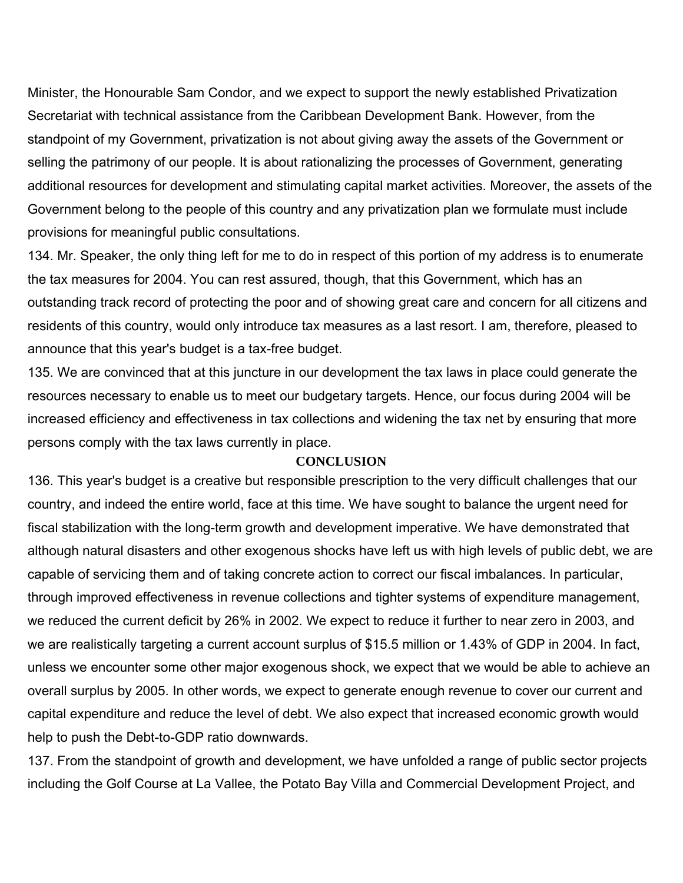Minister, the Honourable Sam Condor, and we expect to support the newly established Privatization Secretariat with technical assistance from the Caribbean Development Bank. However, from the standpoint of my Government, privatization is not about giving away the assets of the Government or selling the patrimony of our people. It is about rationalizing the processes of Government, generating additional resources for development and stimulating capital market activities. Moreover, the assets of the Government belong to the people of this country and any privatization plan we formulate must include provisions for meaningful public consultations.

134. Mr. Speaker, the only thing left for me to do in respect of this portion of my address is to enumerate the tax measures for 2004. You can rest assured, though, that this Government, which has an outstanding track record of protecting the poor and of showing great care and concern for all citizens and residents of this country, would only introduce tax measures as a last resort. I am, therefore, pleased to announce that this year's budget is a tax-free budget.

135. We are convinced that at this juncture in our development the tax laws in place could generate the resources necessary to enable us to meet our budgetary targets. Hence, our focus during 2004 will be increased efficiency and effectiveness in tax collections and widening the tax net by ensuring that more persons comply with the tax laws currently in place.

#### **CONCLUSION**

136. This year's budget is a creative but responsible prescription to the very difficult challenges that our country, and indeed the entire world, face at this time. We have sought to balance the urgent need for fiscal stabilization with the long-term growth and development imperative. We have demonstrated that although natural disasters and other exogenous shocks have left us with high levels of public debt, we are capable of servicing them and of taking concrete action to correct our fiscal imbalances. In particular, through improved effectiveness in revenue collections and tighter systems of expenditure management, we reduced the current deficit by 26% in 2002. We expect to reduce it further to near zero in 2003, and we are realistically targeting a current account surplus of \$15.5 million or 1.43% of GDP in 2004. In fact, unless we encounter some other major exogenous shock, we expect that we would be able to achieve an overall surplus by 2005. In other words, we expect to generate enough revenue to cover our current and capital expenditure and reduce the level of debt. We also expect that increased economic growth would help to push the Debt-to-GDP ratio downwards.

137. From the standpoint of growth and development, we have unfolded a range of public sector projects including the Golf Course at La Vallee, the Potato Bay Villa and Commercial Development Project, and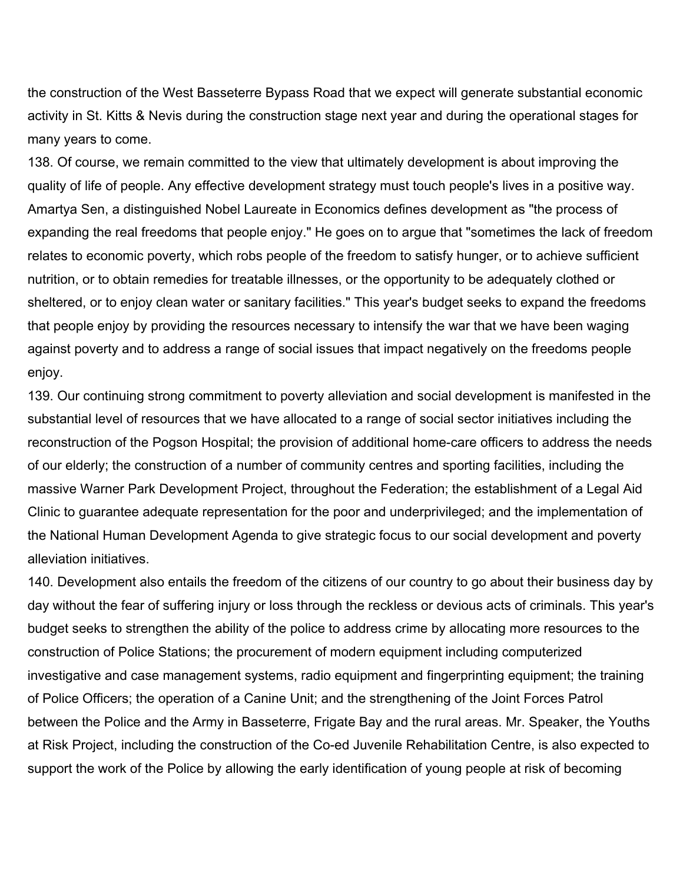the construction of the West Basseterre Bypass Road that we expect will generate substantial economic activity in St. Kitts & Nevis during the construction stage next year and during the operational stages for many years to come.

138. Of course, we remain committed to the view that ultimately development is about improving the quality of life of people. Any effective development strategy must touch people's lives in a positive way. Amartya Sen, a distinguished Nobel Laureate in Economics defines development as "the process of expanding the real freedoms that people enjoy." He goes on to argue that "sometimes the lack of freedom relates to economic poverty, which robs people of the freedom to satisfy hunger, or to achieve sufficient nutrition, or to obtain remedies for treatable illnesses, or the opportunity to be adequately clothed or sheltered, or to enjoy clean water or sanitary facilities." This year's budget seeks to expand the freedoms that people enjoy by providing the resources necessary to intensify the war that we have been waging against poverty and to address a range of social issues that impact negatively on the freedoms people enjoy.

139. Our continuing strong commitment to poverty alleviation and social development is manifested in the substantial level of resources that we have allocated to a range of social sector initiatives including the reconstruction of the Pogson Hospital; the provision of additional home-care officers to address the needs of our elderly; the construction of a number of community centres and sporting facilities, including the massive Warner Park Development Project, throughout the Federation; the establishment of a Legal Aid Clinic to guarantee adequate representation for the poor and underprivileged; and the implementation of the National Human Development Agenda to give strategic focus to our social development and poverty alleviation initiatives.

140. Development also entails the freedom of the citizens of our country to go about their business day by day without the fear of suffering injury or loss through the reckless or devious acts of criminals. This year's budget seeks to strengthen the ability of the police to address crime by allocating more resources to the construction of Police Stations; the procurement of modern equipment including computerized investigative and case management systems, radio equipment and fingerprinting equipment; the training of Police Officers; the operation of a Canine Unit; and the strengthening of the Joint Forces Patrol between the Police and the Army in Basseterre, Frigate Bay and the rural areas. Mr. Speaker, the Youths at Risk Project, including the construction of the Co-ed Juvenile Rehabilitation Centre, is also expected to support the work of the Police by allowing the early identification of young people at risk of becoming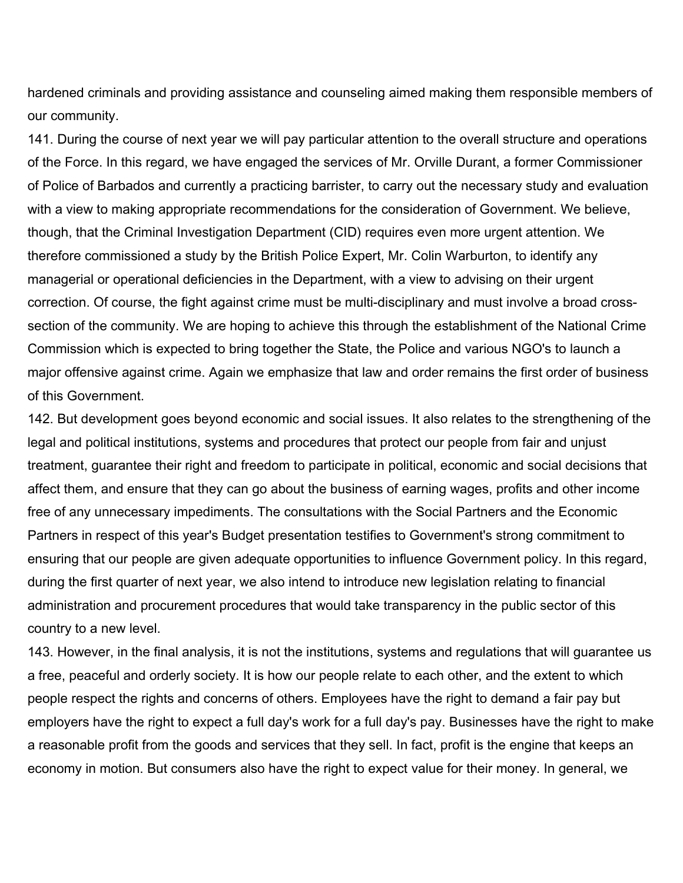hardened criminals and providing assistance and counseling aimed making them responsible members of our community.

141. During the course of next year we will pay particular attention to the overall structure and operations of the Force. In this regard, we have engaged the services of Mr. Orville Durant, a former Commissioner of Police of Barbados and currently a practicing barrister, to carry out the necessary study and evaluation with a view to making appropriate recommendations for the consideration of Government. We believe, though, that the Criminal Investigation Department (CID) requires even more urgent attention. We therefore commissioned a study by the British Police Expert, Mr. Colin Warburton, to identify any managerial or operational deficiencies in the Department, with a view to advising on their urgent correction. Of course, the fight against crime must be multi-disciplinary and must involve a broad crosssection of the community. We are hoping to achieve this through the establishment of the National Crime Commission which is expected to bring together the State, the Police and various NGO's to launch a major offensive against crime. Again we emphasize that law and order remains the first order of business of this Government.

142. But development goes beyond economic and social issues. It also relates to the strengthening of the legal and political institutions, systems and procedures that protect our people from fair and unjust treatment, guarantee their right and freedom to participate in political, economic and social decisions that affect them, and ensure that they can go about the business of earning wages, profits and other income free of any unnecessary impediments. The consultations with the Social Partners and the Economic Partners in respect of this year's Budget presentation testifies to Government's strong commitment to ensuring that our people are given adequate opportunities to influence Government policy. In this regard, during the first quarter of next year, we also intend to introduce new legislation relating to financial administration and procurement procedures that would take transparency in the public sector of this country to a new level.

143. However, in the final analysis, it is not the institutions, systems and regulations that will guarantee us a free, peaceful and orderly society. It is how our people relate to each other, and the extent to which people respect the rights and concerns of others. Employees have the right to demand a fair pay but employers have the right to expect a full day's work for a full day's pay. Businesses have the right to make a reasonable profit from the goods and services that they sell. In fact, profit is the engine that keeps an economy in motion. But consumers also have the right to expect value for their money. In general, we